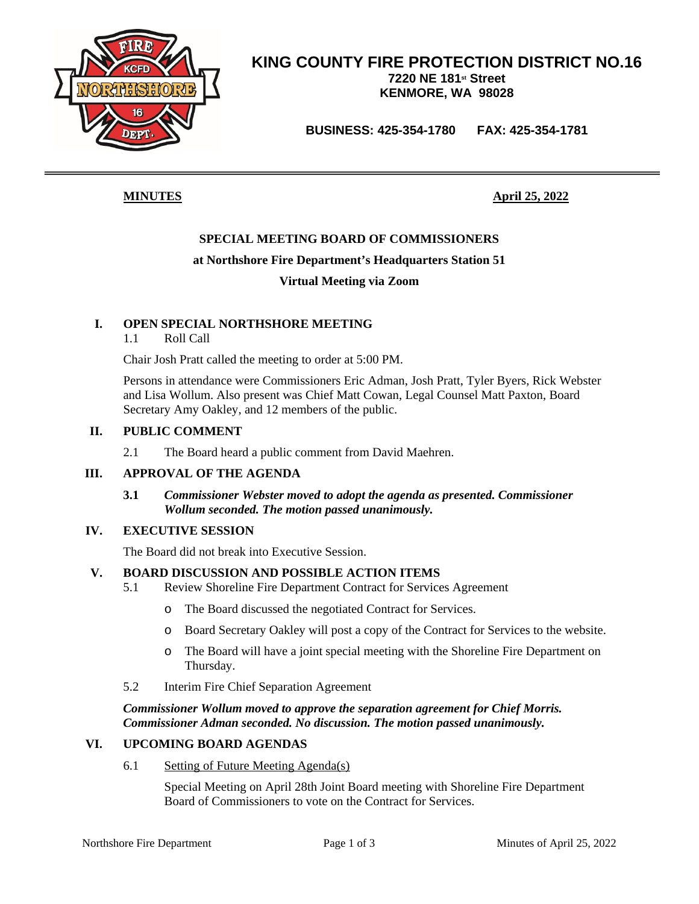

# **KING COUNTY FIRE PROTECTION DISTRICT NO.16 7220 NE 181st Street KENMORE, WA 98028**

**BUSINESS: 425-354-1780 FAX: 425-354-1781**

**MINUTES April 25, 2022**

# **SPECIAL MEETING BOARD OF COMMISSIONERS**

## **at Northshore Fire Department's Headquarters Station 51**

### **Virtual Meeting via Zoom**

# **I. OPEN SPECIAL NORTHSHORE MEETING**

1.1 Roll Call

Chair Josh Pratt called the meeting to order at 5:00 PM.

Persons in attendance were Commissioners Eric Adman, Josh Pratt, Tyler Byers, Rick Webster and Lisa Wollum. Also present was Chief Matt Cowan, Legal Counsel Matt Paxton, Board Secretary Amy Oakley, and 12 members of the public.

### **II. PUBLIC COMMENT**

2.1 The Board heard a public comment from David Maehren.

### **III. APPROVAL OF THE AGENDA**

### **3.1** *Commissioner Webster moved to adopt the agenda as presented. Commissioner Wollum seconded. The motion passed unanimously.*

### **IV. EXECUTIVE SESSION**

The Board did not break into Executive Session.

# **V. BOARD DISCUSSION AND POSSIBLE ACTION ITEMS**

- 5.1 Review Shoreline Fire Department Contract for Services Agreement
	- o The Board discussed the negotiated Contract for Services.
	- o Board Secretary Oakley will post a copy of the Contract for Services to the website.
	- o The Board will have a joint special meeting with the Shoreline Fire Department on Thursday.
- 5.2 Interim Fire Chief Separation Agreement

*Commissioner Wollum moved to approve the separation agreement for Chief Morris. Commissioner Adman seconded. No discussion. The motion passed unanimously.*

### **VI. UPCOMING BOARD AGENDAS**

6.1 Setting of Future Meeting Agenda(s)

Special Meeting on April 28th Joint Board meeting with Shoreline Fire Department Board of Commissioners to vote on the Contract for Services.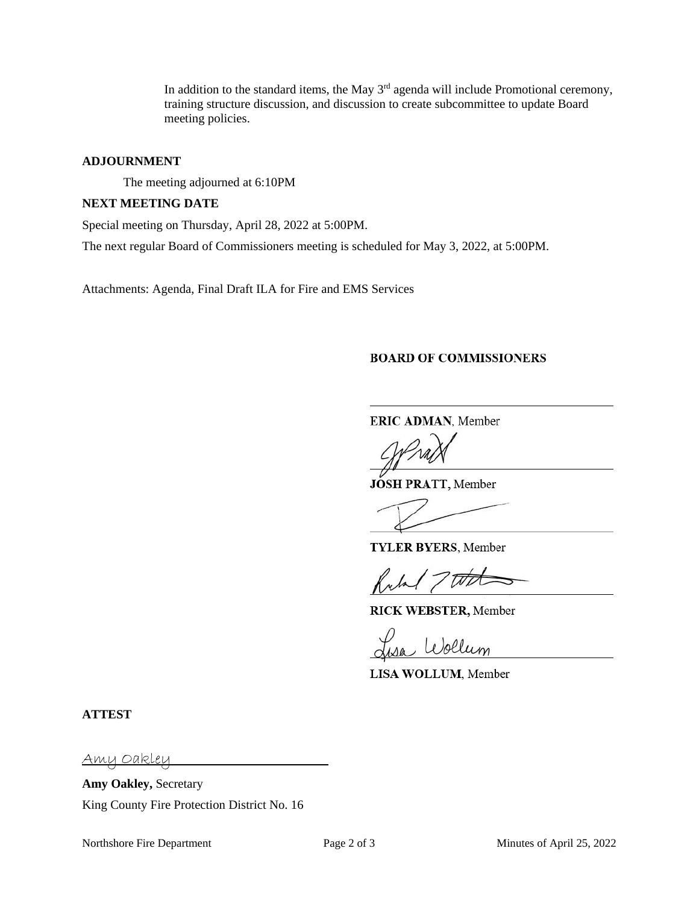In addition to the standard items, the May  $3<sup>rd</sup>$  agenda will include Promotional ceremony, training structure discussion, and discussion to create subcommittee to update Board meeting policies.

### **ADJOURNMENT**

The meeting adjourned at 6:10PM

### **NEXT MEETING DATE**

Special meeting on Thursday, April 28, 2022 at 5:00PM.

The next regular Board of Commissioners meeting is scheduled for May 3, 2022, at 5:00PM.

Attachments: Agenda, Final Draft ILA for Fire and EMS Services

### **BOARD OF COMMISSIONERS**

**ERIC ADMAN**, Member

**JOSH PRATT,** Member

**TYLER BYERS**, Member

**RICK WEBSTER,** Member

Wollum

**LISA WOLLUM**, Member

**ATTEST**

Amy Oakley

**Amy Oakley,** Secretary King County Fire Protection District No. 16

Northshore Fire Department Page 2 of 3 Minutes of April 25, 2022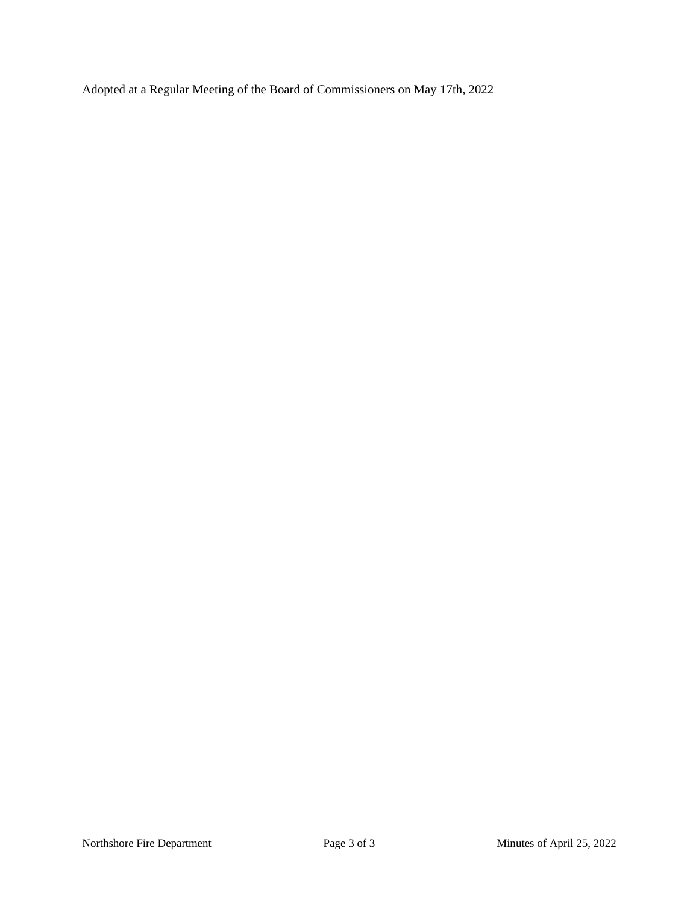Adopted at a Regular Meeting of the Board of Commissioners on May 17th, 2022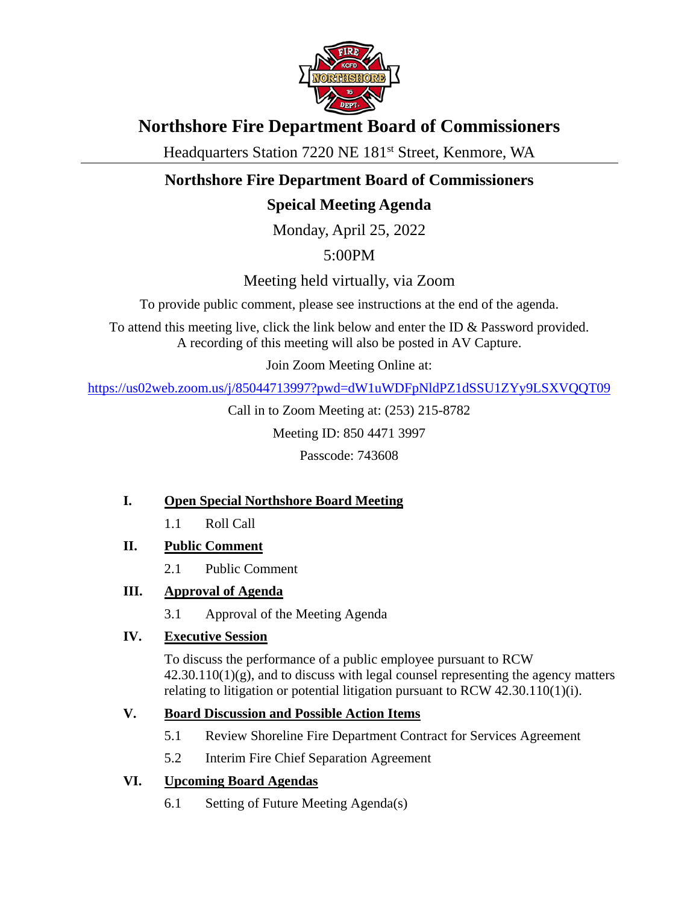

# **Northshore Fire Department Board of Commissioners**

Headquarters Station 7220 NE 181<sup>st</sup> Street, Kenmore, WA

# **Northshore Fire Department Board of Commissioners**

# **Speical Meeting Agenda**

Monday, April 25, 2022

5:00PM

Meeting held virtually, via Zoom

To provide public comment, please see instructions at the end of the agenda.

To attend this meeting live, click the link below and enter the ID & Password provided. A recording of this meeting will also be posted in AV Capture.

Join Zoom Meeting Online at:

<https://us02web.zoom.us/j/85044713997?pwd=dW1uWDFpNldPZ1dSSU1ZYy9LSXVQQT09>

Call in to Zoom Meeting at: (253) 215-8782

Meeting ID: 850 4471 3997

Passcode: 743608

# **I. Open Special Northshore Board Meeting**

- 1.1 Roll Call
- **II. Public Comment**
	- 2.1 Public Comment
- **III. Approval of Agenda**
	- 3.1 Approval of the Meeting Agenda

# **IV. Executive Session**

To discuss the performance of a public employee pursuant to RCW  $42.30.110(1)(g)$ , and to discuss with legal counsel representing the agency matters relating to litigation or potential litigation pursuant to RCW 42.30.110(1)(i).

# **V. Board Discussion and Possible Action Items**

- 5.1 Review Shoreline Fire Department Contract for Services Agreement
- 5.2 Interim Fire Chief Separation Agreement

# **VI. Upcoming Board Agendas**

6.1 Setting of Future Meeting Agenda(s)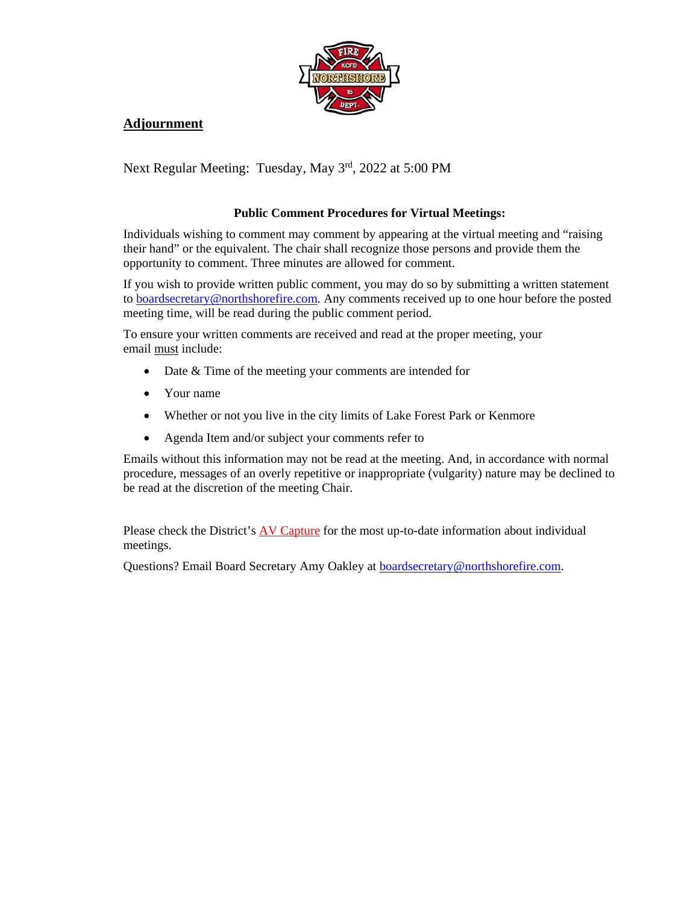

# **Adjournment**

Next Regular Meeting: Tuesday, May 3rd, 2022 at 5:00 PM

# **Public Comment Procedures for Virtual Meetings:**

Individuals wishing to comment may comment by appearing at the virtual meeting and "raising their hand" or the equivalent. The chair shall recognize those persons and provide them the opportunity to comment. Three minutes are allowed for comment.

If you wish to provide written public comment, you may do so by submitting a written statement to [boardsecretary@northshorefire.com.](mailto:boardsecretary@northshorefire.com) Any comments received up to one hour before the posted meeting time, will be read during the public comment period.

To ensure your written comments are received and read at the proper meeting, your email must include:

- Date & Time of the meeting your comments are intended for
- Your name
- Whether or not you live in the city limits of Lake Forest Park or Kenmore
- Agenda Item and/or subject your comments refer to

Emails without this information may not be read at the meeting. And, in accordance with normal procedure, messages of an overly repetitive or inappropriate (vulgarity) nature may be declined to be read at the discretion of the meeting Chair.

Please check the District's [AV Capture](https://www.northshorefire.com/about/board-meetings/) for the most up-to-date information about individual meetings.

Questions? Email Board Secretary Amy Oakley at [boardsecretary@northshorefire.com.](mailto:boardsecretary@northshorefire.com)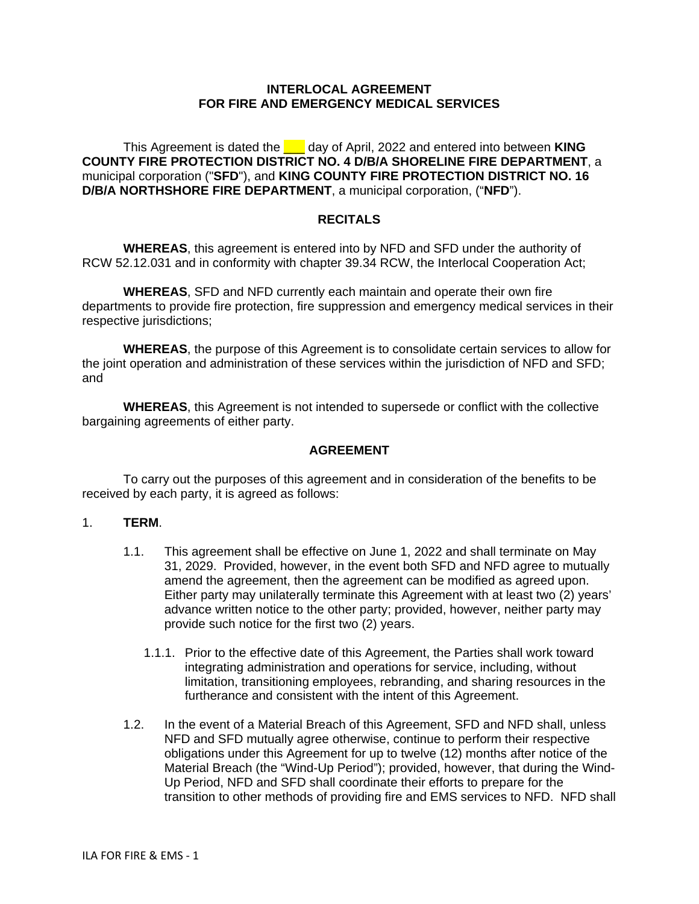## **INTERLOCAL AGREEMENT FOR FIRE AND EMERGENCY MEDICAL SERVICES**

This Agreement is dated the **Let a** day of April, 2022 and entered into between **KING COUNTY FIRE PROTECTION DISTRICT NO. 4 D/B/A SHORELINE FIRE DEPARTMENT**, a municipal corporation ("**SFD**"), and **KING COUNTY FIRE PROTECTION DISTRICT NO. 16 D/B/A NORTHSHORE FIRE DEPARTMENT**, a municipal corporation, ("**NFD**").

# **RECITALS**

**WHEREAS**, this agreement is entered into by NFD and SFD under the authority of RCW 52.12.031 and in conformity with chapter 39.34 RCW, the Interlocal Cooperation Act;

**WHEREAS**, SFD and NFD currently each maintain and operate their own fire departments to provide fire protection, fire suppression and emergency medical services in their respective jurisdictions;

**WHEREAS**, the purpose of this Agreement is to consolidate certain services to allow for the joint operation and administration of these services within the jurisdiction of NFD and SFD; and

**WHEREAS**, this Agreement is not intended to supersede or conflict with the collective bargaining agreements of either party.

#### **AGREEMENT**

To carry out the purposes of this agreement and in consideration of the benefits to be received by each party, it is agreed as follows:

### 1. **TERM**.

- 1.1. This agreement shall be effective on June 1, 2022 and shall terminate on May 31, 2029. Provided, however, in the event both SFD and NFD agree to mutually amend the agreement, then the agreement can be modified as agreed upon. Either party may unilaterally terminate this Agreement with at least two (2) years' advance written notice to the other party; provided, however, neither party may provide such notice for the first two (2) years.
	- 1.1.1. Prior to the effective date of this Agreement, the Parties shall work toward integrating administration and operations for service, including, without limitation, transitioning employees, rebranding, and sharing resources in the furtherance and consistent with the intent of this Agreement.
- 1.2. In the event of a Material Breach of this Agreement, SFD and NFD shall, unless NFD and SFD mutually agree otherwise, continue to perform their respective obligations under this Agreement for up to twelve (12) months after notice of the Material Breach (the "Wind-Up Period"); provided, however, that during the Wind-Up Period, NFD and SFD shall coordinate their efforts to prepare for the transition to other methods of providing fire and EMS services to NFD. NFD shall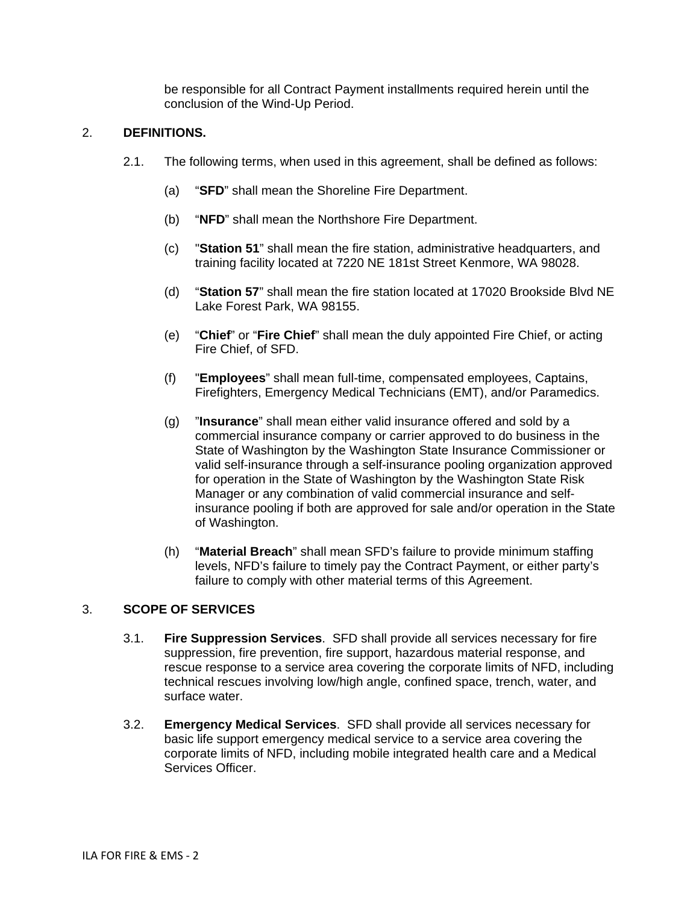be responsible for all Contract Payment installments required herein until the conclusion of the Wind-Up Period.

# 2. **DEFINITIONS.**

- 2.1. The following terms, when used in this agreement, shall be defined as follows:
	- (a) "**SFD**" shall mean the Shoreline Fire Department.
	- (b) "**NFD**" shall mean the Northshore Fire Department.
	- (c) "**Station 51**" shall mean the fire station, administrative headquarters, and training facility located at 7220 NE 181st Street Kenmore, WA 98028.
	- (d) "**Station 57**" shall mean the fire station located at 17020 Brookside Blvd NE Lake Forest Park, WA 98155.
	- (e) "**Chief**" or "**Fire Chief**" shall mean the duly appointed Fire Chief, or acting Fire Chief, of SFD.
	- (f) "**Employees**" shall mean full-time, compensated employees, Captains, Firefighters, Emergency Medical Technicians (EMT), and/or Paramedics.
	- (g) "**Insurance**" shall mean either valid insurance offered and sold by a commercial insurance company or carrier approved to do business in the State of Washington by the Washington State Insurance Commissioner or valid self-insurance through a self-insurance pooling organization approved for operation in the State of Washington by the Washington State Risk Manager or any combination of valid commercial insurance and selfinsurance pooling if both are approved for sale and/or operation in the State of Washington.
	- (h) "**Material Breach**" shall mean SFD's failure to provide minimum staffing levels, NFD's failure to timely pay the Contract Payment, or either party's failure to comply with other material terms of this Agreement.

# 3. **SCOPE OF SERVICES**

- 3.1. **Fire Suppression Services**. SFD shall provide all services necessary for fire suppression, fire prevention, fire support, hazardous material response, and rescue response to a service area covering the corporate limits of NFD, including technical rescues involving low/high angle, confined space, trench, water, and surface water.
- 3.2. **Emergency Medical Services**. SFD shall provide all services necessary for basic life support emergency medical service to a service area covering the corporate limits of NFD, including mobile integrated health care and a Medical Services Officer.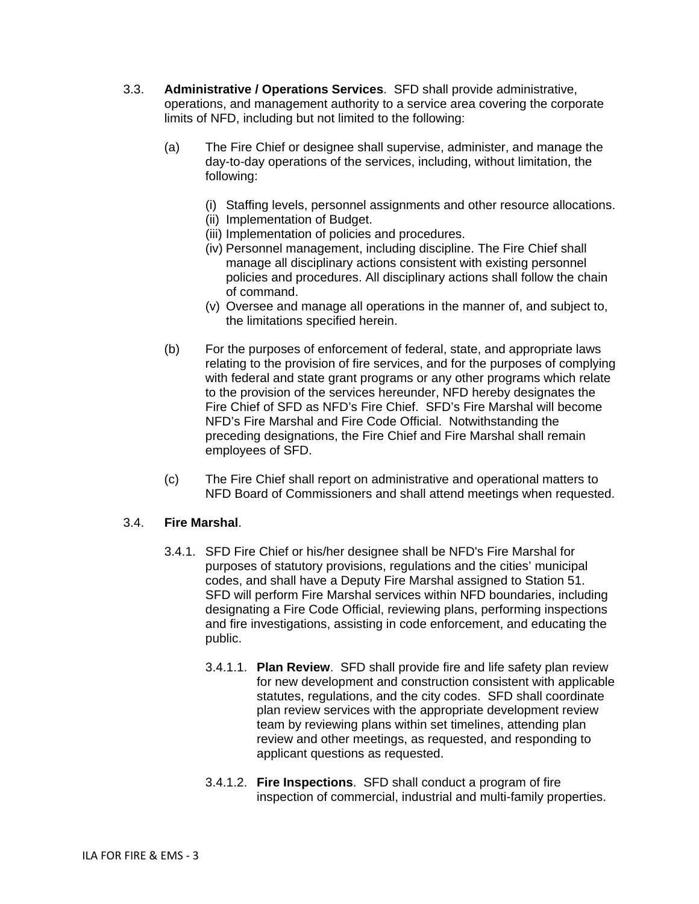- 3.3. **Administrative / Operations Services**. SFD shall provide administrative, operations, and management authority to a service area covering the corporate limits of NFD, including but not limited to the following:
	- (a) The Fire Chief or designee shall supervise, administer, and manage the day-to-day operations of the services, including, without limitation, the following:
		- (i) Staffing levels, personnel assignments and other resource allocations.
		- (ii) Implementation of Budget.
		- (iii) Implementation of policies and procedures.
		- (iv) Personnel management, including discipline. The Fire Chief shall manage all disciplinary actions consistent with existing personnel policies and procedures. All disciplinary actions shall follow the chain of command.
		- (v) Oversee and manage all operations in the manner of, and subject to, the limitations specified herein.
	- (b) For the purposes of enforcement of federal, state, and appropriate laws relating to the provision of fire services, and for the purposes of complying with federal and state grant programs or any other programs which relate to the provision of the services hereunder, NFD hereby designates the Fire Chief of SFD as NFD's Fire Chief. SFD's Fire Marshal will become NFD's Fire Marshal and Fire Code Official. Notwithstanding the preceding designations, the Fire Chief and Fire Marshal shall remain employees of SFD.
	- (c) The Fire Chief shall report on administrative and operational matters to NFD Board of Commissioners and shall attend meetings when requested.

# 3.4. **Fire Marshal**.

- 3.4.1. SFD Fire Chief or his/her designee shall be NFD's Fire Marshal for purposes of statutory provisions, regulations and the cities' municipal codes, and shall have a Deputy Fire Marshal assigned to Station 51. SFD will perform Fire Marshal services within NFD boundaries, including designating a Fire Code Official, reviewing plans, performing inspections and fire investigations, assisting in code enforcement, and educating the public.
	- 3.4.1.1. **Plan Review**. SFD shall provide fire and life safety plan review for new development and construction consistent with applicable statutes, regulations, and the city codes. SFD shall coordinate plan review services with the appropriate development review team by reviewing plans within set timelines, attending plan review and other meetings, as requested, and responding to applicant questions as requested.
	- 3.4.1.2. **Fire Inspections**. SFD shall conduct a program of fire inspection of commercial, industrial and multi-family properties.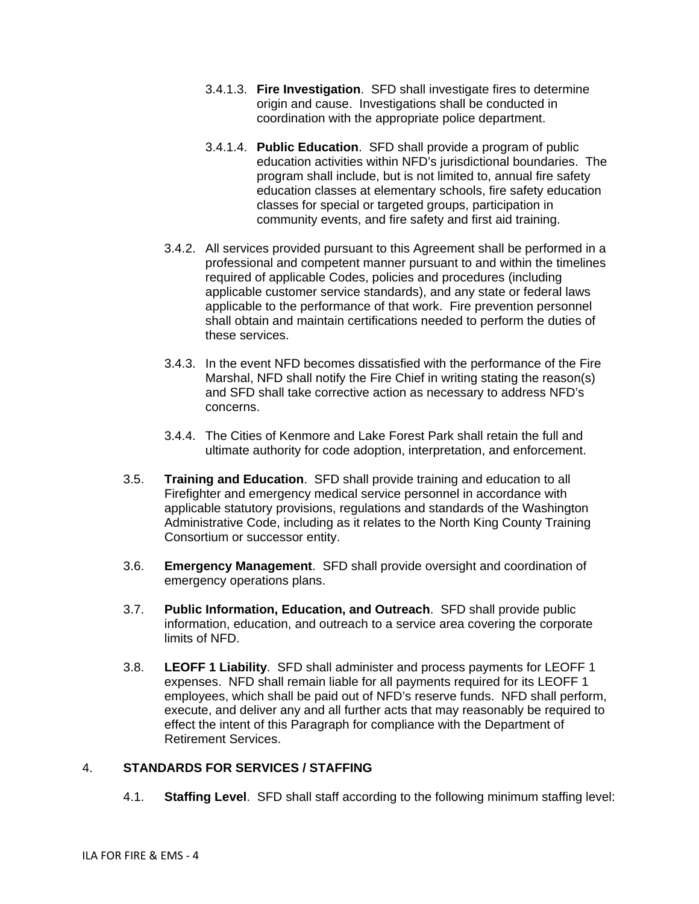- 3.4.1.3. **Fire Investigation**. SFD shall investigate fires to determine origin and cause. Investigations shall be conducted in coordination with the appropriate police department.
- 3.4.1.4. **Public Education**. SFD shall provide a program of public education activities within NFD's jurisdictional boundaries. The program shall include, but is not limited to, annual fire safety education classes at elementary schools, fire safety education classes for special or targeted groups, participation in community events, and fire safety and first aid training.
- 3.4.2. All services provided pursuant to this Agreement shall be performed in a professional and competent manner pursuant to and within the timelines required of applicable Codes, policies and procedures (including applicable customer service standards), and any state or federal laws applicable to the performance of that work. Fire prevention personnel shall obtain and maintain certifications needed to perform the duties of these services.
- 3.4.3. In the event NFD becomes dissatisfied with the performance of the Fire Marshal, NFD shall notify the Fire Chief in writing stating the reason(s) and SFD shall take corrective action as necessary to address NFD's concerns.
- 3.4.4. The Cities of Kenmore and Lake Forest Park shall retain the full and ultimate authority for code adoption, interpretation, and enforcement.
- 3.5. **Training and Education**. SFD shall provide training and education to all Firefighter and emergency medical service personnel in accordance with applicable statutory provisions, regulations and standards of the Washington Administrative Code, including as it relates to the North King County Training Consortium or successor entity.
- 3.6. **Emergency Management**. SFD shall provide oversight and coordination of emergency operations plans.
- 3.7. **Public Information, Education, and Outreach**. SFD shall provide public information, education, and outreach to a service area covering the corporate limits of NFD.
- 3.8. **LEOFF 1 Liability**. SFD shall administer and process payments for LEOFF 1 expenses. NFD shall remain liable for all payments required for its LEOFF 1 employees, which shall be paid out of NFD's reserve funds. NFD shall perform, execute, and deliver any and all further acts that may reasonably be required to effect the intent of this Paragraph for compliance with the Department of Retirement Services.

# 4. **STANDARDS FOR SERVICES / STAFFING**

4.1. **Staffing Level**. SFD shall staff according to the following minimum staffing level: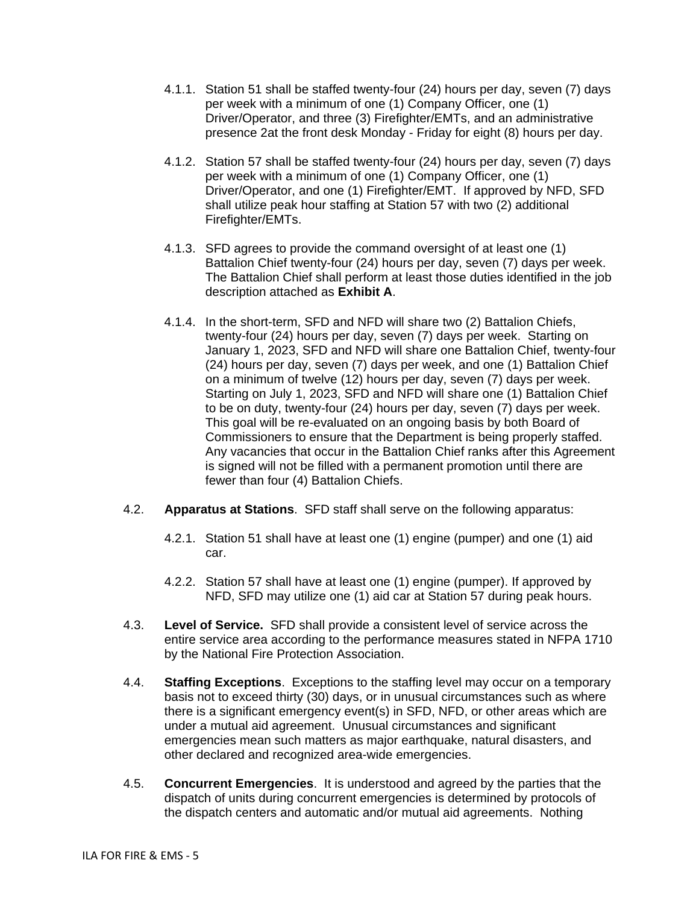- 4.1.1. Station 51 shall be staffed twenty-four (24) hours per day, seven (7) days per week with a minimum of one (1) Company Officer, one (1) Driver/Operator, and three (3) Firefighter/EMTs, and an administrative presence 2at the front desk Monday - Friday for eight (8) hours per day.
- 4.1.2. Station 57 shall be staffed twenty-four (24) hours per day, seven (7) days per week with a minimum of one (1) Company Officer, one (1) Driver/Operator, and one (1) Firefighter/EMT. If approved by NFD, SFD shall utilize peak hour staffing at Station 57 with two (2) additional Firefighter/EMTs.
- 4.1.3. SFD agrees to provide the command oversight of at least one (1) Battalion Chief twenty-four (24) hours per day, seven (7) days per week. The Battalion Chief shall perform at least those duties identified in the job description attached as **Exhibit A**.
- 4.1.4. In the short-term, SFD and NFD will share two (2) Battalion Chiefs, twenty-four (24) hours per day, seven (7) days per week. Starting on January 1, 2023, SFD and NFD will share one Battalion Chief, twenty-four (24) hours per day, seven (7) days per week, and one (1) Battalion Chief on a minimum of twelve (12) hours per day, seven (7) days per week. Starting on July 1, 2023, SFD and NFD will share one (1) Battalion Chief to be on duty, twenty-four (24) hours per day, seven (7) days per week. This goal will be re-evaluated on an ongoing basis by both Board of Commissioners to ensure that the Department is being properly staffed. Any vacancies that occur in the Battalion Chief ranks after this Agreement is signed will not be filled with a permanent promotion until there are fewer than four (4) Battalion Chiefs.
- 4.2. **Apparatus at Stations**. SFD staff shall serve on the following apparatus:
	- 4.2.1. Station 51 shall have at least one (1) engine (pumper) and one (1) aid car.
	- 4.2.2. Station 57 shall have at least one (1) engine (pumper). If approved by NFD, SFD may utilize one (1) aid car at Station 57 during peak hours.
- 4.3. **Level of Service.** SFD shall provide a consistent level of service across the entire service area according to the performance measures stated in NFPA 1710 by the National Fire Protection Association.
- 4.4. **Staffing Exceptions**. Exceptions to the staffing level may occur on a temporary basis not to exceed thirty (30) days, or in unusual circumstances such as where there is a significant emergency event(s) in SFD, NFD, or other areas which are under a mutual aid agreement. Unusual circumstances and significant emergencies mean such matters as major earthquake, natural disasters, and other declared and recognized area-wide emergencies.
- 4.5. **Concurrent Emergencies**. It is understood and agreed by the parties that the dispatch of units during concurrent emergencies is determined by protocols of the dispatch centers and automatic and/or mutual aid agreements. Nothing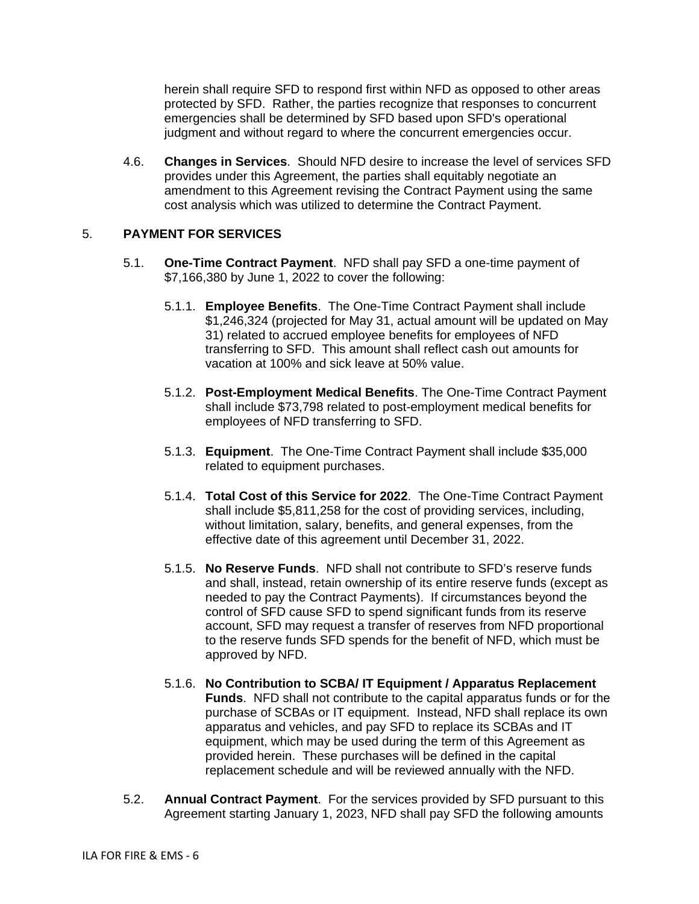herein shall require SFD to respond first within NFD as opposed to other areas protected by SFD. Rather, the parties recognize that responses to concurrent emergencies shall be determined by SFD based upon SFD's operational judgment and without regard to where the concurrent emergencies occur.

4.6. **Changes in Services**. Should NFD desire to increase the level of services SFD provides under this Agreement, the parties shall equitably negotiate an amendment to this Agreement revising the Contract Payment using the same cost analysis which was utilized to determine the Contract Payment.

## 5. **PAYMENT FOR SERVICES**

- 5.1. **One-Time Contract Payment**. NFD shall pay SFD a one-time payment of \$7,166,380 by June 1, 2022 to cover the following:
	- 5.1.1. **Employee Benefits**. The One-Time Contract Payment shall include \$1,246,324 (projected for May 31, actual amount will be updated on May 31) related to accrued employee benefits for employees of NFD transferring to SFD. This amount shall reflect cash out amounts for vacation at 100% and sick leave at 50% value.
	- 5.1.2. **Post-Employment Medical Benefits**. The One-Time Contract Payment shall include \$73,798 related to post-employment medical benefits for employees of NFD transferring to SFD.
	- 5.1.3. **Equipment**. The One-Time Contract Payment shall include \$35,000 related to equipment purchases.
	- 5.1.4. **Total Cost of this Service for 2022**. The One-Time Contract Payment shall include \$5,811,258 for the cost of providing services, including, without limitation, salary, benefits, and general expenses, from the effective date of this agreement until December 31, 2022.
	- 5.1.5. **No Reserve Funds**. NFD shall not contribute to SFD's reserve funds and shall, instead, retain ownership of its entire reserve funds (except as needed to pay the Contract Payments). If circumstances beyond the control of SFD cause SFD to spend significant funds from its reserve account, SFD may request a transfer of reserves from NFD proportional to the reserve funds SFD spends for the benefit of NFD, which must be approved by NFD.
	- 5.1.6. **No Contribution to SCBA/ IT Equipment / Apparatus Replacement Funds**. NFD shall not contribute to the capital apparatus funds or for the purchase of SCBAs or IT equipment. Instead, NFD shall replace its own apparatus and vehicles, and pay SFD to replace its SCBAs and IT equipment, which may be used during the term of this Agreement as provided herein. These purchases will be defined in the capital replacement schedule and will be reviewed annually with the NFD.
- 5.2. **Annual Contract Payment**. For the services provided by SFD pursuant to this Agreement starting January 1, 2023, NFD shall pay SFD the following amounts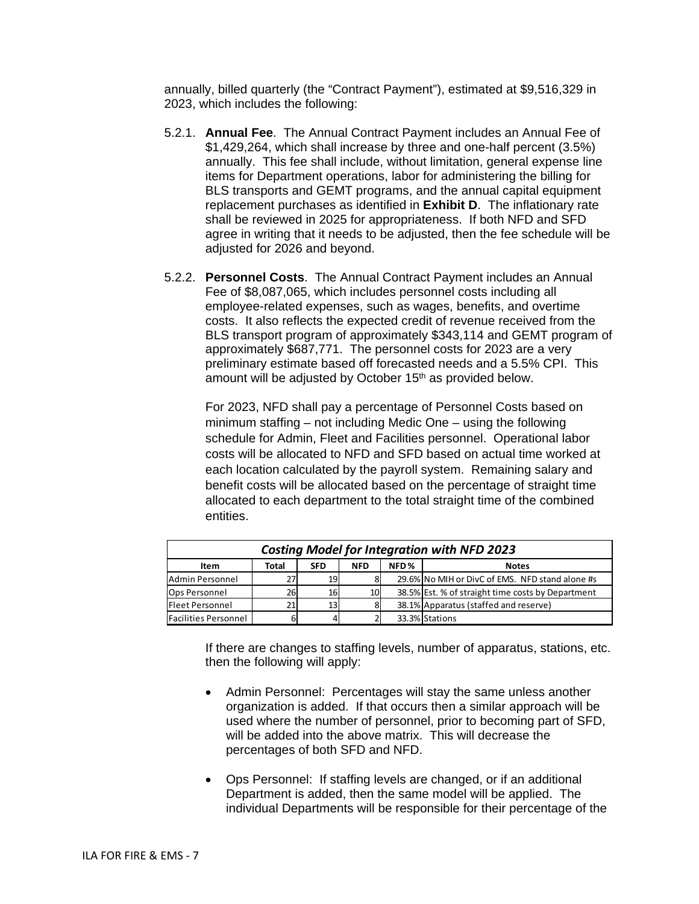annually, billed quarterly (the "Contract Payment"), estimated at \$9,516,329 in 2023, which includes the following:

- 5.2.1. **Annual Fee**. The Annual Contract Payment includes an Annual Fee of \$1,429,264, which shall increase by three and one-half percent (3.5%) annually. This fee shall include, without limitation, general expense line items for Department operations, labor for administering the billing for BLS transports and GEMT programs, and the annual capital equipment replacement purchases as identified in **Exhibit D**. The inflationary rate shall be reviewed in 2025 for appropriateness. If both NFD and SFD agree in writing that it needs to be adjusted, then the fee schedule will be adjusted for 2026 and beyond.
- 5.2.2. **Personnel Costs**. The Annual Contract Payment includes an Annual Fee of \$8,087,065, which includes personnel costs including all employee-related expenses, such as wages, benefits, and overtime costs. It also reflects the expected credit of revenue received from the BLS transport program of approximately \$343,114 and GEMT program of approximately \$687,771. The personnel costs for 2023 are a very preliminary estimate based off forecasted needs and a 5.5% CPI. This amount will be adjusted by October 15<sup>th</sup> as provided below.

For 2023, NFD shall pay a percentage of Personnel Costs based on minimum staffing – not including Medic One – using the following schedule for Admin, Fleet and Facilities personnel. Operational labor costs will be allocated to NFD and SFD based on actual time worked at each location calculated by the payroll system. Remaining salary and benefit costs will be allocated based on the percentage of straight time allocated to each department to the total straight time of the combined entities.

| <b>Costing Model for Integration with NFD 2023</b>                |    |                 |    |  |                                                   |  |  |  |  |  |  |  |  |
|-------------------------------------------------------------------|----|-----------------|----|--|---------------------------------------------------|--|--|--|--|--|--|--|--|
| NFD%<br>Total<br><b>SFD</b><br><b>NFD</b><br><b>Notes</b><br>Item |    |                 |    |  |                                                   |  |  |  |  |  |  |  |  |
| Admin Personnel                                                   |    | 19              |    |  | 29.6% No MIH or DivC of EMS. NFD stand alone #s   |  |  |  |  |  |  |  |  |
| Ops Personnel                                                     | 26 | 16              | 10 |  | 38.5% Est. % of straight time costs by Department |  |  |  |  |  |  |  |  |
| <b>Fleet Personnel</b>                                            |    | 13 <sup>1</sup> |    |  | 38.1% Apparatus (staffed and reserve)             |  |  |  |  |  |  |  |  |
| <b>Facilities Personnel</b>                                       |    |                 |    |  | 33.3% Stations                                    |  |  |  |  |  |  |  |  |

If there are changes to staffing levels, number of apparatus, stations, etc. then the following will apply:

- Admin Personnel: Percentages will stay the same unless another organization is added. If that occurs then a similar approach will be used where the number of personnel, prior to becoming part of SFD, will be added into the above matrix. This will decrease the percentages of both SFD and NFD.
- Ops Personnel: If staffing levels are changed, or if an additional Department is added, then the same model will be applied. The individual Departments will be responsible for their percentage of the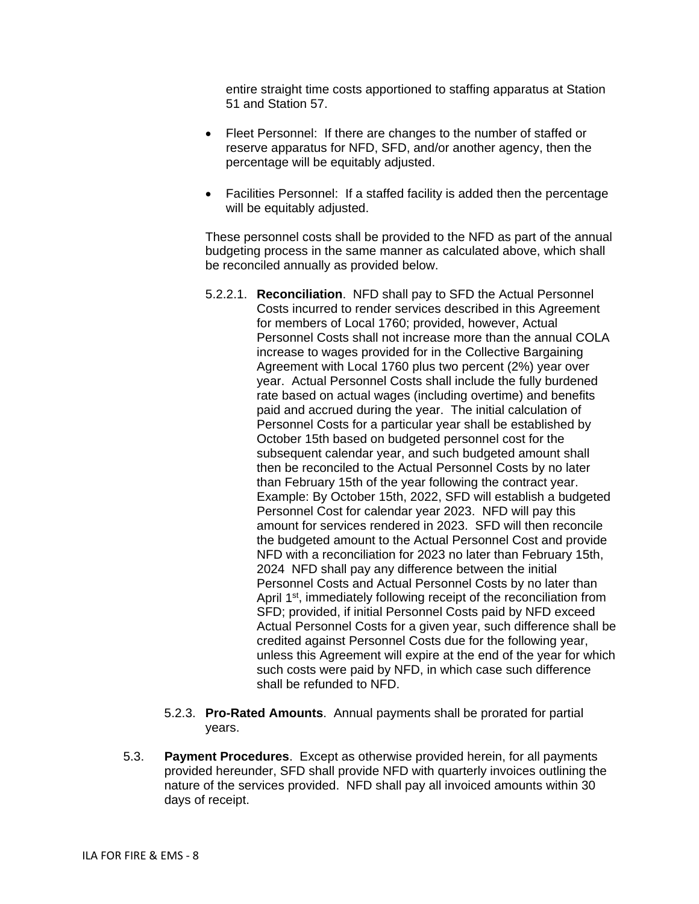entire straight time costs apportioned to staffing apparatus at Station 51 and Station 57.

- Fleet Personnel: If there are changes to the number of staffed or reserve apparatus for NFD, SFD, and/or another agency, then the percentage will be equitably adjusted.
- Facilities Personnel: If a staffed facility is added then the percentage will be equitably adjusted.

These personnel costs shall be provided to the NFD as part of the annual budgeting process in the same manner as calculated above, which shall be reconciled annually as provided below.

- 5.2.2.1. **Reconciliation**. NFD shall pay to SFD the Actual Personnel Costs incurred to render services described in this Agreement for members of Local 1760; provided, however, Actual Personnel Costs shall not increase more than the annual COLA increase to wages provided for in the Collective Bargaining Agreement with Local 1760 plus two percent (2%) year over year. Actual Personnel Costs shall include the fully burdened rate based on actual wages (including overtime) and benefits paid and accrued during the year. The initial calculation of Personnel Costs for a particular year shall be established by October 15th based on budgeted personnel cost for the subsequent calendar year, and such budgeted amount shall then be reconciled to the Actual Personnel Costs by no later than February 15th of the year following the contract year. Example: By October 15th, 2022, SFD will establish a budgeted Personnel Cost for calendar year 2023. NFD will pay this amount for services rendered in 2023. SFD will then reconcile the budgeted amount to the Actual Personnel Cost and provide NFD with a reconciliation for 2023 no later than February 15th, 2024 NFD shall pay any difference between the initial Personnel Costs and Actual Personnel Costs by no later than April 1<sup>st</sup>, immediately following receipt of the reconciliation from SFD; provided, if initial Personnel Costs paid by NFD exceed Actual Personnel Costs for a given year, such difference shall be credited against Personnel Costs due for the following year, unless this Agreement will expire at the end of the year for which such costs were paid by NFD, in which case such difference shall be refunded to NFD.
- 5.2.3. **Pro-Rated Amounts**. Annual payments shall be prorated for partial years.
- 5.3. **Payment Procedures**. Except as otherwise provided herein, for all payments provided hereunder, SFD shall provide NFD with quarterly invoices outlining the nature of the services provided. NFD shall pay all invoiced amounts within 30 days of receipt.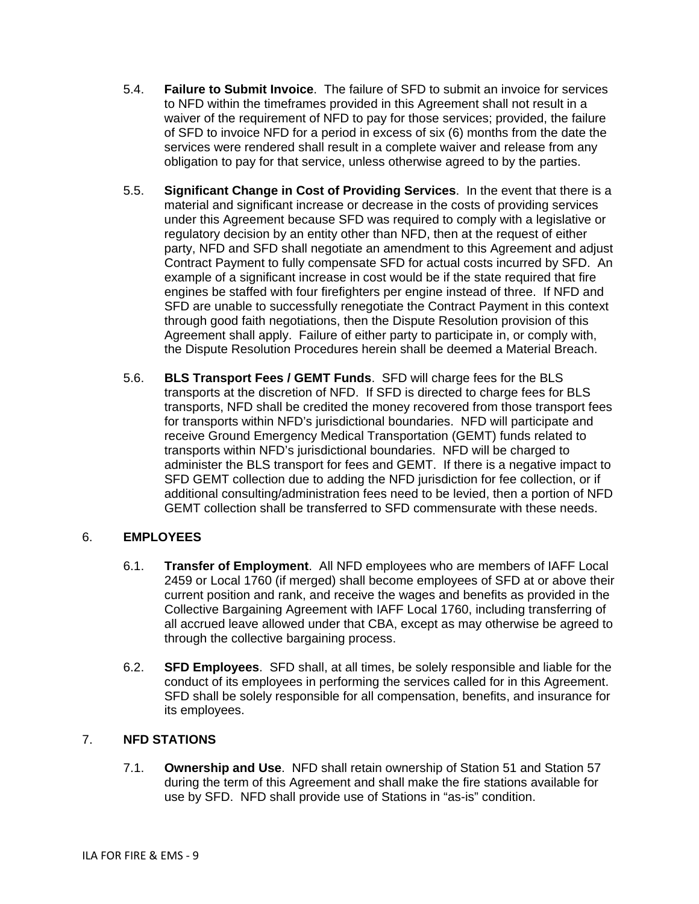- 5.4. **Failure to Submit Invoice**. The failure of SFD to submit an invoice for services to NFD within the timeframes provided in this Agreement shall not result in a waiver of the requirement of NFD to pay for those services; provided, the failure of SFD to invoice NFD for a period in excess of six (6) months from the date the services were rendered shall result in a complete waiver and release from any obligation to pay for that service, unless otherwise agreed to by the parties.
- 5.5. **Significant Change in Cost of Providing Services**. In the event that there is a material and significant increase or decrease in the costs of providing services under this Agreement because SFD was required to comply with a legislative or regulatory decision by an entity other than NFD, then at the request of either party, NFD and SFD shall negotiate an amendment to this Agreement and adjust Contract Payment to fully compensate SFD for actual costs incurred by SFD. An example of a significant increase in cost would be if the state required that fire engines be staffed with four firefighters per engine instead of three. If NFD and SFD are unable to successfully renegotiate the Contract Payment in this context through good faith negotiations, then the Dispute Resolution provision of this Agreement shall apply. Failure of either party to participate in, or comply with, the Dispute Resolution Procedures herein shall be deemed a Material Breach.
- 5.6. **BLS Transport Fees / GEMT Funds**. SFD will charge fees for the BLS transports at the discretion of NFD. If SFD is directed to charge fees for BLS transports, NFD shall be credited the money recovered from those transport fees for transports within NFD's jurisdictional boundaries. NFD will participate and receive Ground Emergency Medical Transportation (GEMT) funds related to transports within NFD's jurisdictional boundaries. NFD will be charged to administer the BLS transport for fees and GEMT. If there is a negative impact to SFD GEMT collection due to adding the NFD jurisdiction for fee collection, or if additional consulting/administration fees need to be levied, then a portion of NFD GEMT collection shall be transferred to SFD commensurate with these needs.

# 6. **EMPLOYEES**

- 6.1. **Transfer of Employment**. All NFD employees who are members of IAFF Local 2459 or Local 1760 (if merged) shall become employees of SFD at or above their current position and rank, and receive the wages and benefits as provided in the Collective Bargaining Agreement with IAFF Local 1760, including transferring of all accrued leave allowed under that CBA, except as may otherwise be agreed to through the collective bargaining process.
- 6.2. **SFD Employees**. SFD shall, at all times, be solely responsible and liable for the conduct of its employees in performing the services called for in this Agreement. SFD shall be solely responsible for all compensation, benefits, and insurance for its employees.

# 7. **NFD STATIONS**

7.1. **Ownership and Use**. NFD shall retain ownership of Station 51 and Station 57 during the term of this Agreement and shall make the fire stations available for use by SFD. NFD shall provide use of Stations in "as-is" condition.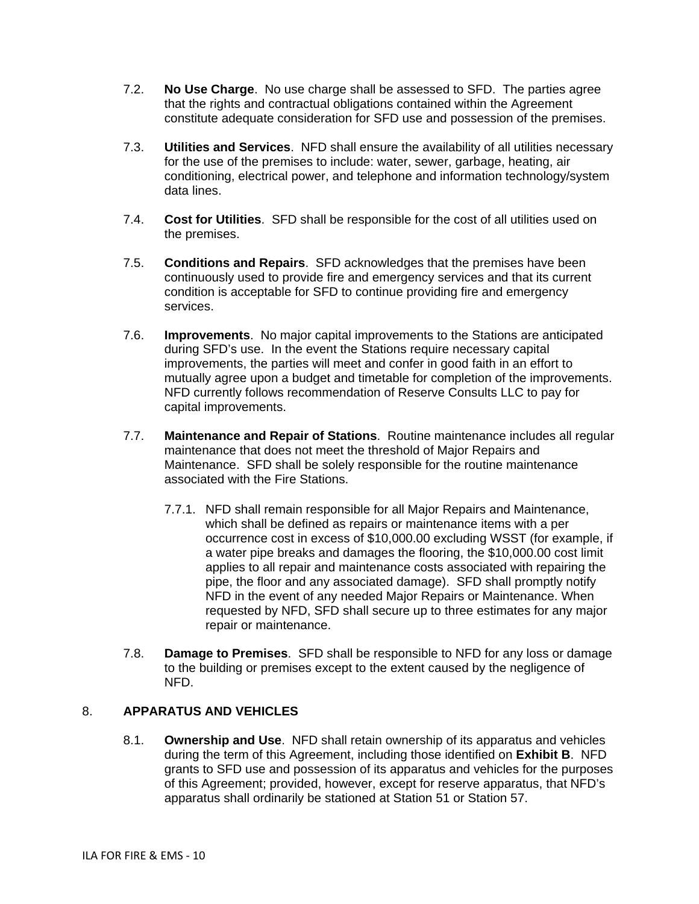- 7.2. **No Use Charge**. No use charge shall be assessed to SFD. The parties agree that the rights and contractual obligations contained within the Agreement constitute adequate consideration for SFD use and possession of the premises.
- 7.3. **Utilities and Services**. NFD shall ensure the availability of all utilities necessary for the use of the premises to include: water, sewer, garbage, heating, air conditioning, electrical power, and telephone and information technology/system data lines.
- 7.4. **Cost for Utilities**. SFD shall be responsible for the cost of all utilities used on the premises.
- 7.5. **Conditions and Repairs**. SFD acknowledges that the premises have been continuously used to provide fire and emergency services and that its current condition is acceptable for SFD to continue providing fire and emergency services.
- 7.6. **Improvements**. No major capital improvements to the Stations are anticipated during SFD's use. In the event the Stations require necessary capital improvements, the parties will meet and confer in good faith in an effort to mutually agree upon a budget and timetable for completion of the improvements. NFD currently follows recommendation of Reserve Consults LLC to pay for capital improvements.
- 7.7. **Maintenance and Repair of Stations**. Routine maintenance includes all regular maintenance that does not meet the threshold of Major Repairs and Maintenance. SFD shall be solely responsible for the routine maintenance associated with the Fire Stations.
	- 7.7.1. NFD shall remain responsible for all Major Repairs and Maintenance, which shall be defined as repairs or maintenance items with a per occurrence cost in excess of \$10,000.00 excluding WSST (for example, if a water pipe breaks and damages the flooring, the \$10,000.00 cost limit applies to all repair and maintenance costs associated with repairing the pipe, the floor and any associated damage). SFD shall promptly notify NFD in the event of any needed Major Repairs or Maintenance. When requested by NFD, SFD shall secure up to three estimates for any major repair or maintenance.
- 7.8. **Damage to Premises**. SFD shall be responsible to NFD for any loss or damage to the building or premises except to the extent caused by the negligence of NFD.

# 8. **APPARATUS AND VEHICLES**

8.1. **Ownership and Use**.NFD shall retain ownership of its apparatus and vehicles during the term of this Agreement, including those identified on **Exhibit B**. NFD grants to SFD use and possession of its apparatus and vehicles for the purposes of this Agreement; provided, however, except for reserve apparatus, that NFD's apparatus shall ordinarily be stationed at Station 51 or Station 57.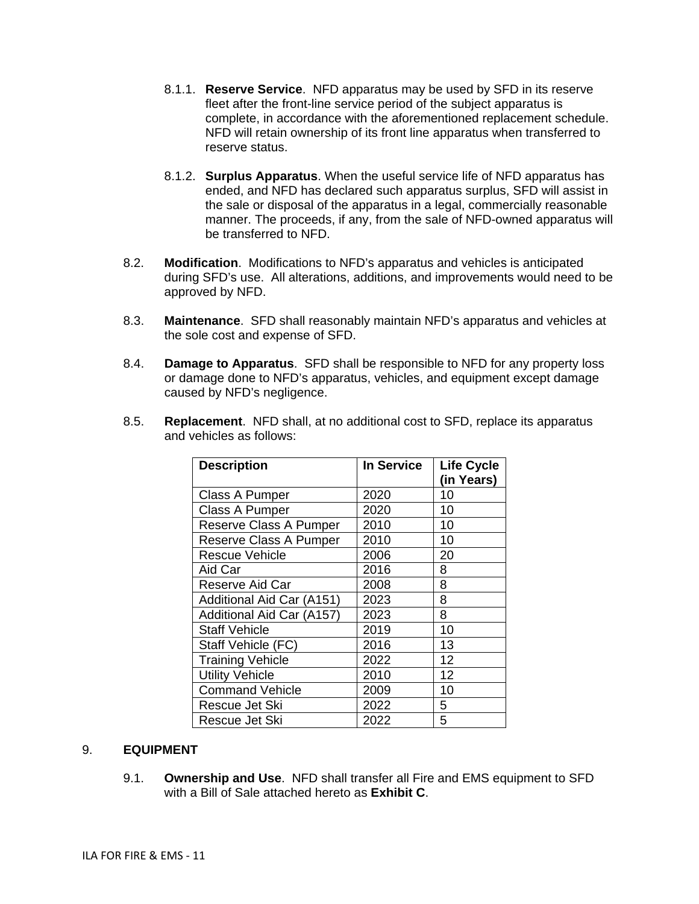- 8.1.1. **Reserve Service**. NFD apparatus may be used by SFD in its reserve fleet after the front-line service period of the subject apparatus is complete, in accordance with the aforementioned replacement schedule. NFD will retain ownership of its front line apparatus when transferred to reserve status.
- 8.1.2. **Surplus Apparatus**. When the useful service life of NFD apparatus has ended, and NFD has declared such apparatus surplus, SFD will assist in the sale or disposal of the apparatus in a legal, commercially reasonable manner. The proceeds, if any, from the sale of NFD-owned apparatus will be transferred to NFD.
- 8.2. **Modification**. Modifications to NFD's apparatus and vehicles is anticipated during SFD's use. All alterations, additions, and improvements would need to be approved by NFD.
- 8.3. **Maintenance**. SFD shall reasonably maintain NFD's apparatus and vehicles at the sole cost and expense of SFD.
- 8.4. **Damage to Apparatus**. SFD shall be responsible to NFD for any property loss or damage done to NFD's apparatus, vehicles, and equipment except damage caused by NFD's negligence.

| <b>Description</b>            | <b>In Service</b> | <b>Life Cycle</b> |
|-------------------------------|-------------------|-------------------|
|                               |                   | (in Years)        |
| Class A Pumper                | 2020              | 10                |
| Class A Pumper                | 2020              | 10                |
| <b>Reserve Class A Pumper</b> | 2010              | 10                |
| <b>Reserve Class A Pumper</b> | 2010              | 10                |
| <b>Rescue Vehicle</b>         | 2006              | 20                |
| Aid Car                       | 2016              | 8                 |
| Reserve Aid Car               | 2008              | 8                 |
| Additional Aid Car (A151)     | 2023              | 8                 |
| Additional Aid Car (A157)     | 2023              | 8                 |
| <b>Staff Vehicle</b>          | 2019              | 10                |
| Staff Vehicle (FC)            | 2016              | 13                |
| <b>Training Vehicle</b>       | 2022              | 12                |
| <b>Utility Vehicle</b>        | 2010              | 12                |
| <b>Command Vehicle</b>        | 2009              | 10                |
| Rescue Jet Ski                | 2022              | 5                 |
| Rescue Jet Ski                | 2022              | 5                 |

8.5. **Replacement**. NFD shall, at no additional cost to SFD, replace its apparatus and vehicles as follows:

## 9. **EQUIPMENT**

9.1. **Ownership and Use**. NFD shall transfer all Fire and EMS equipment to SFD with a Bill of Sale attached hereto as **Exhibit C**.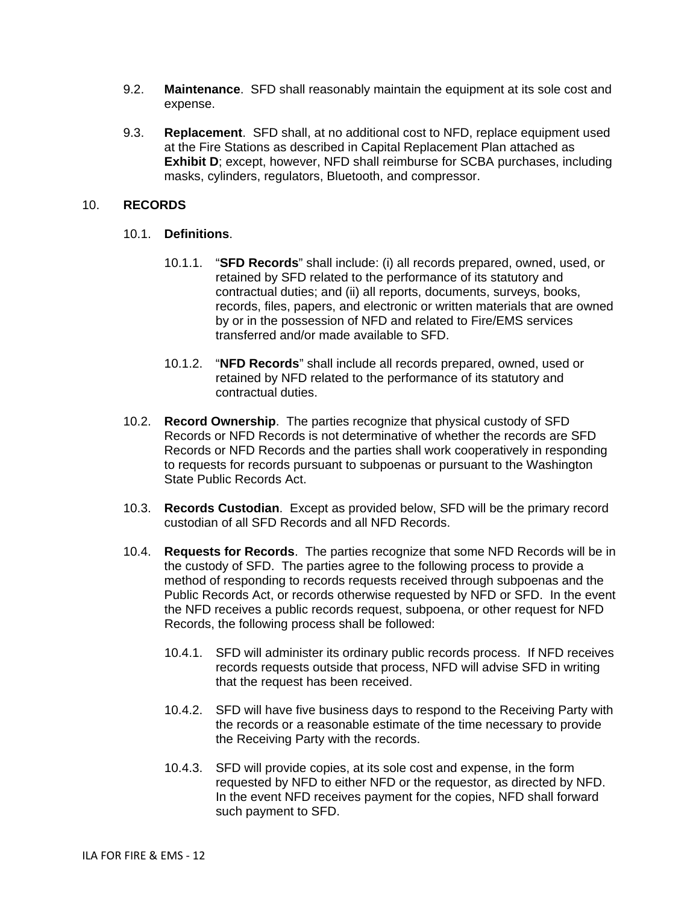- 9.2. **Maintenance**. SFD shall reasonably maintain the equipment at its sole cost and expense.
- 9.3. **Replacement**. SFD shall, at no additional cost to NFD, replace equipment used at the Fire Stations as described in Capital Replacement Plan attached as **Exhibit D**; except, however, NFD shall reimburse for SCBA purchases, including masks, cylinders, regulators, Bluetooth, and compressor.

### 10. **RECORDS**

### 10.1. **Definitions**.

- 10.1.1. "**SFD Records**" shall include: (i) all records prepared, owned, used, or retained by SFD related to the performance of its statutory and contractual duties; and (ii) all reports, documents, surveys, books, records, files, papers, and electronic or written materials that are owned by or in the possession of NFD and related to Fire/EMS services transferred and/or made available to SFD.
- 10.1.2. "**NFD Records**" shall include all records prepared, owned, used or retained by NFD related to the performance of its statutory and contractual duties.
- 10.2. **Record Ownership**. The parties recognize that physical custody of SFD Records or NFD Records is not determinative of whether the records are SFD Records or NFD Records and the parties shall work cooperatively in responding to requests for records pursuant to subpoenas or pursuant to the Washington State Public Records Act.
- 10.3. **Records Custodian**. Except as provided below, SFD will be the primary record custodian of all SFD Records and all NFD Records.
- 10.4. **Requests for Records**. The parties recognize that some NFD Records will be in the custody of SFD. The parties agree to the following process to provide a method of responding to records requests received through subpoenas and the Public Records Act, or records otherwise requested by NFD or SFD. In the event the NFD receives a public records request, subpoena, or other request for NFD Records, the following process shall be followed:
	- 10.4.1. SFD will administer its ordinary public records process. If NFD receives records requests outside that process, NFD will advise SFD in writing that the request has been received.
	- 10.4.2. SFD will have five business days to respond to the Receiving Party with the records or a reasonable estimate of the time necessary to provide the Receiving Party with the records.
	- 10.4.3. SFD will provide copies, at its sole cost and expense, in the form requested by NFD to either NFD or the requestor, as directed by NFD. In the event NFD receives payment for the copies, NFD shall forward such payment to SFD.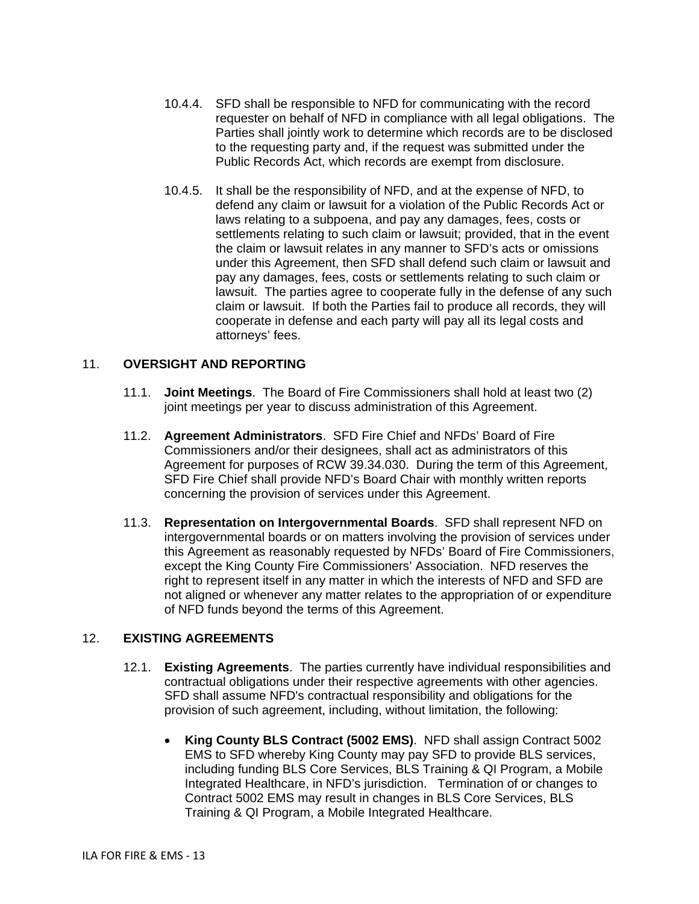- 10.4.4. SFD shall be responsible to NFD for communicating with the record requester on behalf of NFD in compliance with all legal obligations. The Parties shall jointly work to determine which records are to be disclosed to the requesting party and, if the request was submitted under the Public Records Act, which records are exempt from disclosure.
- 10.4.5. It shall be the responsibility of NFD, and at the expense of NFD, to defend any claim or lawsuit for a violation of the Public Records Act or laws relating to a subpoena, and pay any damages, fees, costs or settlements relating to such claim or lawsuit; provided, that in the event the claim or lawsuit relates in any manner to SFD's acts or omissions under this Agreement, then SFD shall defend such claim or lawsuit and pay any damages, fees, costs or settlements relating to such claim or lawsuit. The parties agree to cooperate fully in the defense of any such claim or lawsuit. If both the Parties fail to produce all records, they will cooperate in defense and each party will pay all its legal costs and attorneys' fees.

# 11. **OVERSIGHT AND REPORTING**

- 11.1. **Joint Meetings**. The Board of Fire Commissioners shall hold at least two (2) joint meetings per year to discuss administration of this Agreement.
- 11.2. **Agreement Administrators**. SFD Fire Chief and NFDs' Board of Fire Commissioners and/or their designees, shall act as administrators of this Agreement for purposes of RCW 39.34.030. During the term of this Agreement, SFD Fire Chief shall provide NFD's Board Chair with monthly written reports concerning the provision of services under this Agreement.
- 11.3. **Representation on Intergovernmental Boards**. SFD shall represent NFD on intergovernmental boards or on matters involving the provision of services under this Agreement as reasonably requested by NFDs' Board of Fire Commissioners, except the King County Fire Commissioners' Association. NFD reserves the right to represent itself in any matter in which the interests of NFD and SFD are not aligned or whenever any matter relates to the appropriation of or expenditure of NFD funds beyond the terms of this Agreement.

### 12. **EXISTING AGREEMENTS**

- 12.1. **Existing Agreements**.The parties currently have individual responsibilities and contractual obligations under their respective agreements with other agencies. SFD shall assume NFD's contractual responsibility and obligations for the provision of such agreement, including, without limitation, the following:
	- **King County BLS Contract (5002 EMS)**. NFD shall assign Contract 5002 EMS to SFD whereby King County may pay SFD to provide BLS services, including funding BLS Core Services, BLS Training & QI Program, a Mobile Integrated Healthcare, in NFD's jurisdiction. Termination of or changes to Contract 5002 EMS may result in changes in BLS Core Services, BLS Training & QI Program, a Mobile Integrated Healthcare.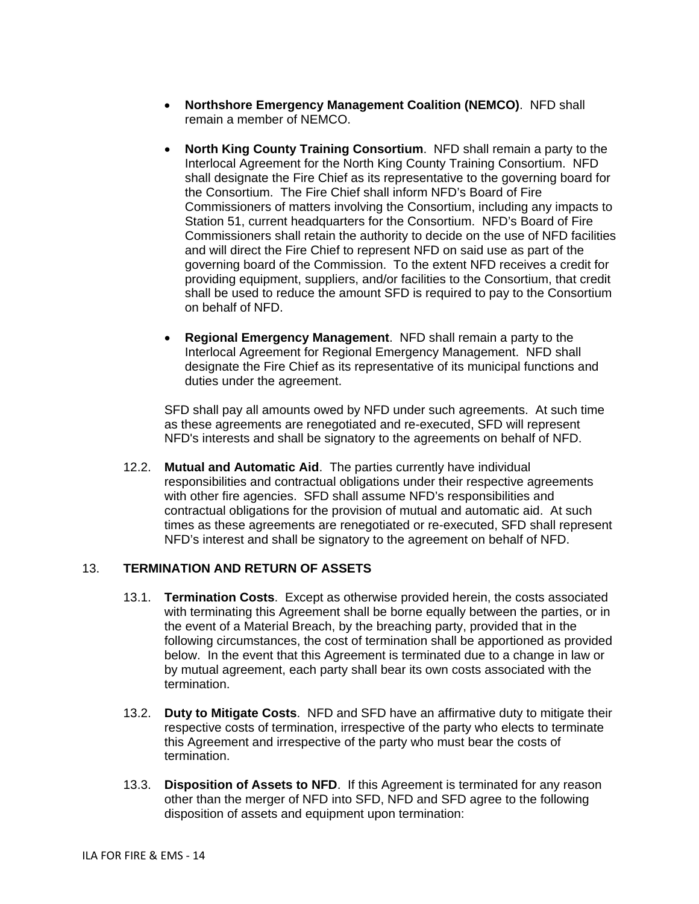- **Northshore Emergency Management Coalition (NEMCO)**. NFD shall remain a member of NEMCO.
- **North King County Training Consortium**. NFD shall remain a party to the Interlocal Agreement for the North King County Training Consortium. NFD shall designate the Fire Chief as its representative to the governing board for the Consortium. The Fire Chief shall inform NFD's Board of Fire Commissioners of matters involving the Consortium, including any impacts to Station 51, current headquarters for the Consortium. NFD's Board of Fire Commissioners shall retain the authority to decide on the use of NFD facilities and will direct the Fire Chief to represent NFD on said use as part of the governing board of the Commission. To the extent NFD receives a credit for providing equipment, suppliers, and/or facilities to the Consortium, that credit shall be used to reduce the amount SFD is required to pay to the Consortium on behalf of NFD.
- **Regional Emergency Management**. NFD shall remain a party to the Interlocal Agreement for Regional Emergency Management. NFD shall designate the Fire Chief as its representative of its municipal functions and duties under the agreement.

SFD shall pay all amounts owed by NFD under such agreements. At such time as these agreements are renegotiated and re-executed, SFD will represent NFD's interests and shall be signatory to the agreements on behalf of NFD.

12.2. **Mutual and Automatic Aid**. The parties currently have individual responsibilities and contractual obligations under their respective agreements with other fire agencies. SFD shall assume NFD's responsibilities and contractual obligations for the provision of mutual and automatic aid. At such times as these agreements are renegotiated or re-executed, SFD shall represent NFD's interest and shall be signatory to the agreement on behalf of NFD.

### 13. **TERMINATION AND RETURN OF ASSETS**

- 13.1. **Termination Costs**. Except as otherwise provided herein, the costs associated with terminating this Agreement shall be borne equally between the parties, or in the event of a Material Breach, by the breaching party, provided that in the following circumstances, the cost of termination shall be apportioned as provided below. In the event that this Agreement is terminated due to a change in law or by mutual agreement, each party shall bear its own costs associated with the termination.
- 13.2. **Duty to Mitigate Costs**. NFD and SFD have an affirmative duty to mitigate their respective costs of termination, irrespective of the party who elects to terminate this Agreement and irrespective of the party who must bear the costs of termination.
- 13.3. **Disposition of Assets to NFD**. If this Agreement is terminated for any reason other than the merger of NFD into SFD, NFD and SFD agree to the following disposition of assets and equipment upon termination: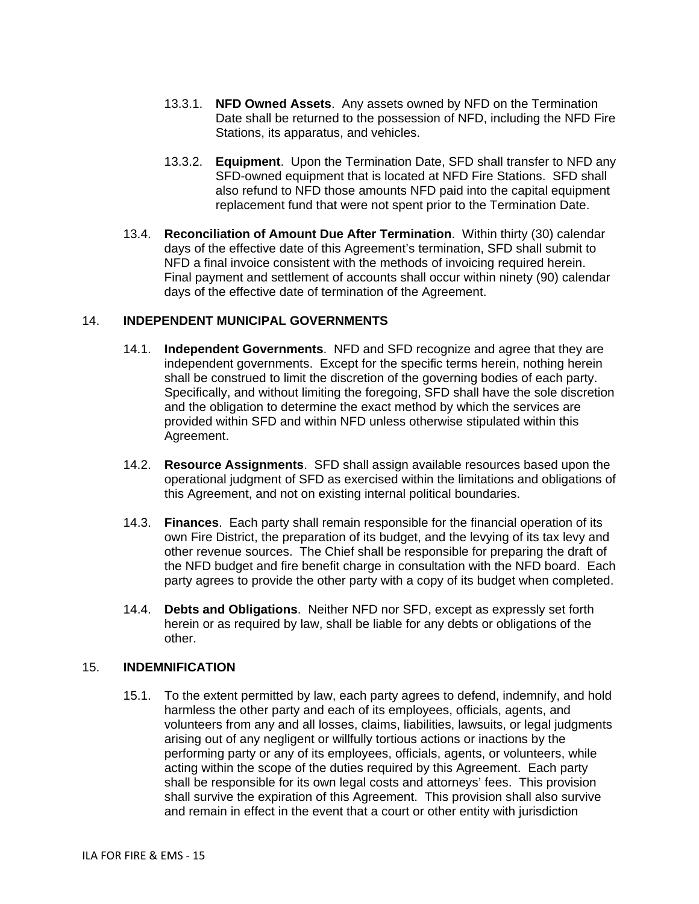- 13.3.1. **NFD Owned Assets**. Any assets owned by NFD on the Termination Date shall be returned to the possession of NFD, including the NFD Fire Stations, its apparatus, and vehicles.
- 13.3.2. **Equipment**. Upon the Termination Date, SFD shall transfer to NFD any SFD-owned equipment that is located at NFD Fire Stations. SFD shall also refund to NFD those amounts NFD paid into the capital equipment replacement fund that were not spent prior to the Termination Date.
- 13.4. **Reconciliation of Amount Due After Termination**. Within thirty (30) calendar days of the effective date of this Agreement's termination, SFD shall submit to NFD a final invoice consistent with the methods of invoicing required herein. Final payment and settlement of accounts shall occur within ninety (90) calendar days of the effective date of termination of the Agreement.

## 14. **INDEPENDENT MUNICIPAL GOVERNMENTS**

- 14.1. **Independent Governments**. NFD and SFD recognize and agree that they are independent governments. Except for the specific terms herein, nothing herein shall be construed to limit the discretion of the governing bodies of each party. Specifically, and without limiting the foregoing, SFD shall have the sole discretion and the obligation to determine the exact method by which the services are provided within SFD and within NFD unless otherwise stipulated within this Agreement.
- 14.2. **Resource Assignments**. SFD shall assign available resources based upon the operational judgment of SFD as exercised within the limitations and obligations of this Agreement, and not on existing internal political boundaries.
- 14.3. **Finances**. Each party shall remain responsible for the financial operation of its own Fire District, the preparation of its budget, and the levying of its tax levy and other revenue sources. The Chief shall be responsible for preparing the draft of the NFD budget and fire benefit charge in consultation with the NFD board. Each party agrees to provide the other party with a copy of its budget when completed.
- 14.4. **Debts and Obligations**. Neither NFD nor SFD, except as expressly set forth herein or as required by law, shall be liable for any debts or obligations of the other.

### 15. **INDEMNIFICATION**

15.1. To the extent permitted by law, each party agrees to defend, indemnify, and hold harmless the other party and each of its employees, officials, agents, and volunteers from any and all losses, claims, liabilities, lawsuits, or legal judgments arising out of any negligent or willfully tortious actions or inactions by the performing party or any of its employees, officials, agents, or volunteers, while acting within the scope of the duties required by this Agreement. Each party shall be responsible for its own legal costs and attorneys' fees. This provision shall survive the expiration of this Agreement. This provision shall also survive and remain in effect in the event that a court or other entity with jurisdiction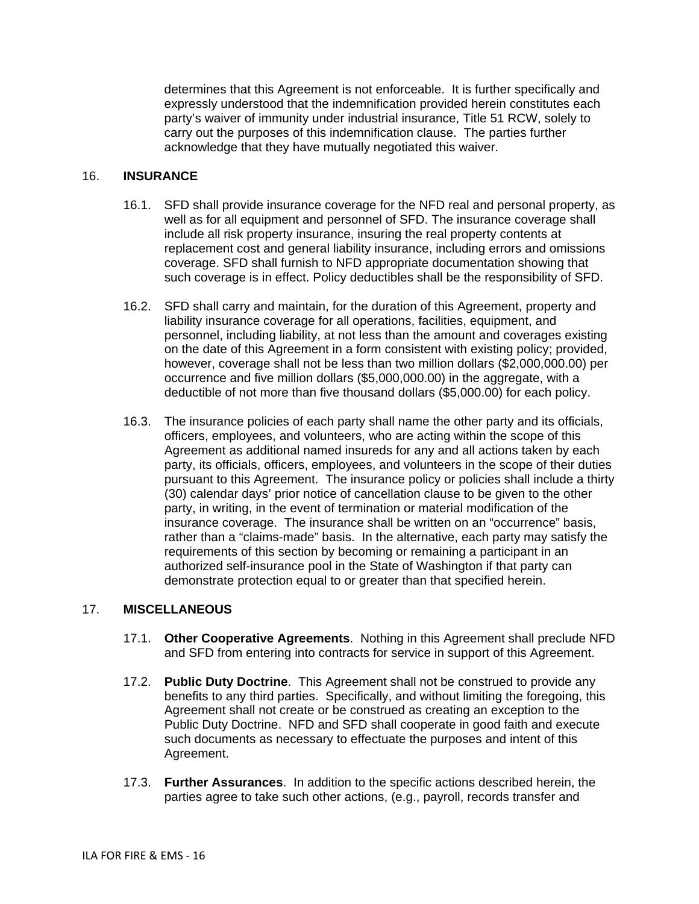determines that this Agreement is not enforceable. It is further specifically and expressly understood that the indemnification provided herein constitutes each party's waiver of immunity under industrial insurance, Title 51 RCW, solely to carry out the purposes of this indemnification clause. The parties further acknowledge that they have mutually negotiated this waiver.

## 16. **INSURANCE**

- 16.1. SFD shall provide insurance coverage for the NFD real and personal property, as well as for all equipment and personnel of SFD. The insurance coverage shall include all risk property insurance, insuring the real property contents at replacement cost and general liability insurance, including errors and omissions coverage. SFD shall furnish to NFD appropriate documentation showing that such coverage is in effect. Policy deductibles shall be the responsibility of SFD.
- 16.2. SFD shall carry and maintain, for the duration of this Agreement, property and liability insurance coverage for all operations, facilities, equipment, and personnel, including liability, at not less than the amount and coverages existing on the date of this Agreement in a form consistent with existing policy; provided, however, coverage shall not be less than two million dollars (\$2,000,000.00) per occurrence and five million dollars (\$5,000,000.00) in the aggregate, with a deductible of not more than five thousand dollars (\$5,000.00) for each policy.
- 16.3. The insurance policies of each party shall name the other party and its officials, officers, employees, and volunteers, who are acting within the scope of this Agreement as additional named insureds for any and all actions taken by each party, its officials, officers, employees, and volunteers in the scope of their duties pursuant to this Agreement. The insurance policy or policies shall include a thirty (30) calendar days' prior notice of cancellation clause to be given to the other party, in writing, in the event of termination or material modification of the insurance coverage. The insurance shall be written on an "occurrence" basis, rather than a "claims-made" basis. In the alternative, each party may satisfy the requirements of this section by becoming or remaining a participant in an authorized self-insurance pool in the State of Washington if that party can demonstrate protection equal to or greater than that specified herein.

# 17. **MISCELLANEOUS**

- 17.1. **Other Cooperative Agreements**. Nothing in this Agreement shall preclude NFD and SFD from entering into contracts for service in support of this Agreement.
- 17.2. **Public Duty Doctrine**. This Agreement shall not be construed to provide any benefits to any third parties. Specifically, and without limiting the foregoing, this Agreement shall not create or be construed as creating an exception to the Public Duty Doctrine. NFD and SFD shall cooperate in good faith and execute such documents as necessary to effectuate the purposes and intent of this Agreement.
- 17.3. **Further Assurances**. In addition to the specific actions described herein, the parties agree to take such other actions, (e.g., payroll, records transfer and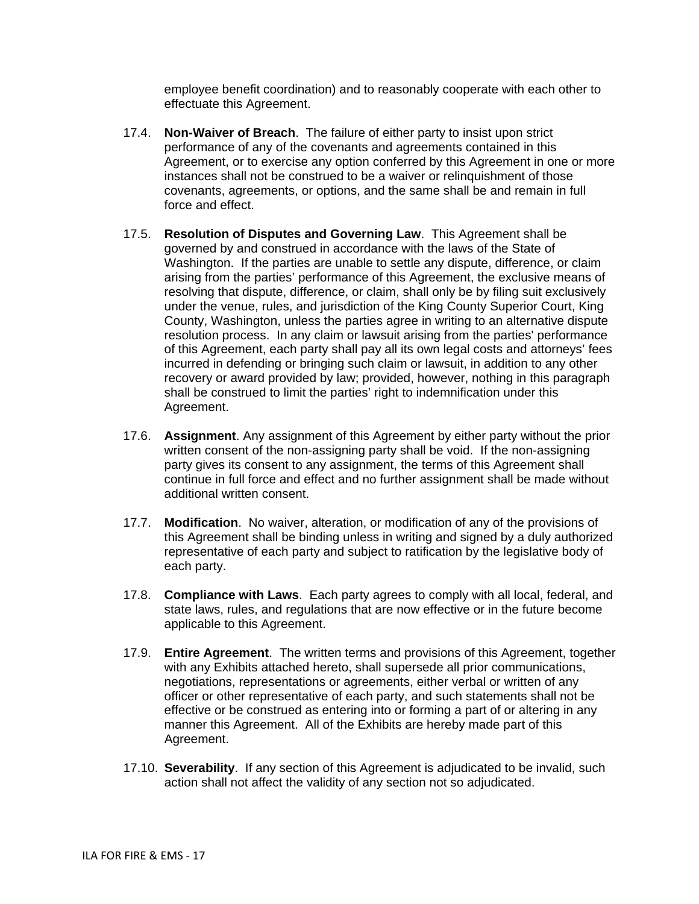employee benefit coordination) and to reasonably cooperate with each other to effectuate this Agreement.

- 17.4. **Non-Waiver of Breach**. The failure of either party to insist upon strict performance of any of the covenants and agreements contained in this Agreement, or to exercise any option conferred by this Agreement in one or more instances shall not be construed to be a waiver or relinquishment of those covenants, agreements, or options, and the same shall be and remain in full force and effect.
- 17.5. **Resolution of Disputes and Governing Law**. This Agreement shall be governed by and construed in accordance with the laws of the State of Washington. If the parties are unable to settle any dispute, difference, or claim arising from the parties' performance of this Agreement, the exclusive means of resolving that dispute, difference, or claim, shall only be by filing suit exclusively under the venue, rules, and jurisdiction of the King County Superior Court, King County, Washington, unless the parties agree in writing to an alternative dispute resolution process. In any claim or lawsuit arising from the parties' performance of this Agreement, each party shall pay all its own legal costs and attorneys' fees incurred in defending or bringing such claim or lawsuit, in addition to any other recovery or award provided by law; provided, however, nothing in this paragraph shall be construed to limit the parties' right to indemnification under this Agreement.
- 17.6. **Assignment**. Any assignment of this Agreement by either party without the prior written consent of the non-assigning party shall be void. If the non-assigning party gives its consent to any assignment, the terms of this Agreement shall continue in full force and effect and no further assignment shall be made without additional written consent.
- 17.7. **Modification**. No waiver, alteration, or modification of any of the provisions of this Agreement shall be binding unless in writing and signed by a duly authorized representative of each party and subject to ratification by the legislative body of each party.
- 17.8. **Compliance with Laws**. Each party agrees to comply with all local, federal, and state laws, rules, and regulations that are now effective or in the future become applicable to this Agreement.
- 17.9. **Entire Agreement**. The written terms and provisions of this Agreement, together with any Exhibits attached hereto, shall supersede all prior communications, negotiations, representations or agreements, either verbal or written of any officer or other representative of each party, and such statements shall not be effective or be construed as entering into or forming a part of or altering in any manner this Agreement. All of the Exhibits are hereby made part of this Agreement.
- 17.10. **Severability**. If any section of this Agreement is adjudicated to be invalid, such action shall not affect the validity of any section not so adjudicated.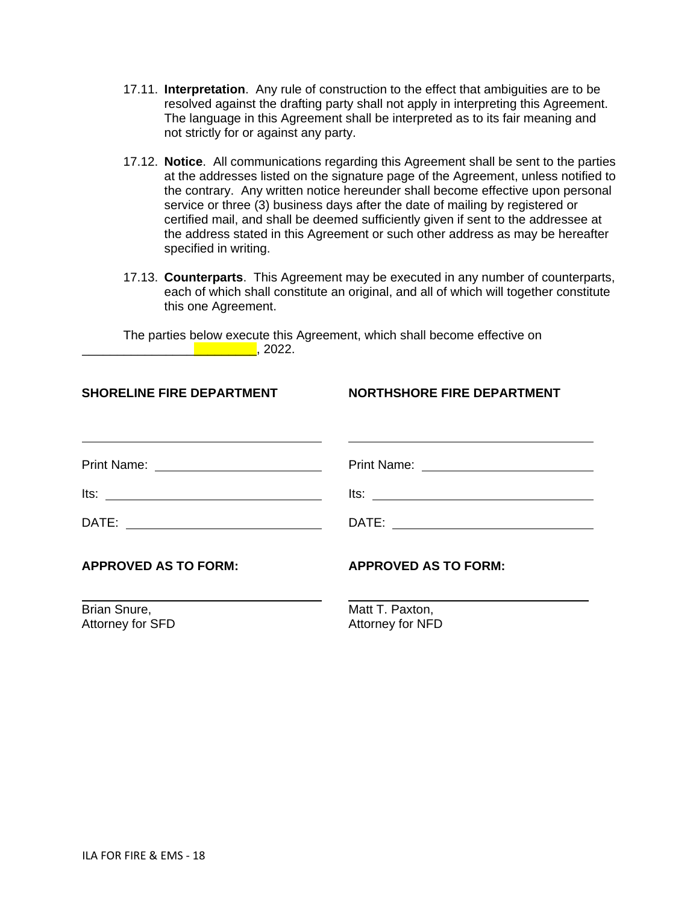- 17.11. **Interpretation**. Any rule of construction to the effect that ambiguities are to be resolved against the drafting party shall not apply in interpreting this Agreement. The language in this Agreement shall be interpreted as to its fair meaning and not strictly for or against any party.
- 17.12. **Notice**. All communications regarding this Agreement shall be sent to the parties at the addresses listed on the signature page of the Agreement, unless notified to the contrary. Any written notice hereunder shall become effective upon personal service or three (3) business days after the date of mailing by registered or certified mail, and shall be deemed sufficiently given if sent to the addressee at the address stated in this Agreement or such other address as may be hereafter specified in writing.
- 17.13. **Counterparts**. This Agreement may be executed in any number of counterparts, each of which shall constitute an original, and all of which will together constitute this one Agreement.

The parties below execute this Agreement, which shall become effective on \_\_\_\_\_\_\_\_\_\_\_\_\_\_\_\_\_\_\_\_\_\_\_\_\_, 2022.

| <b>SHORELINE FIRE DEPARTMENT</b> | <b>NORTHSHORE FIRE DEPARTMENT</b>   |  |  |  |  |  |  |  |
|----------------------------------|-------------------------------------|--|--|--|--|--|--|--|
|                                  |                                     |  |  |  |  |  |  |  |
|                                  |                                     |  |  |  |  |  |  |  |
|                                  |                                     |  |  |  |  |  |  |  |
| <b>APPROVED AS TO FORM:</b>      | <b>APPROVED AS TO FORM:</b>         |  |  |  |  |  |  |  |
| Brian Snure,<br>Attorney for SFD | Matt T. Paxton,<br>Attorney for NFD |  |  |  |  |  |  |  |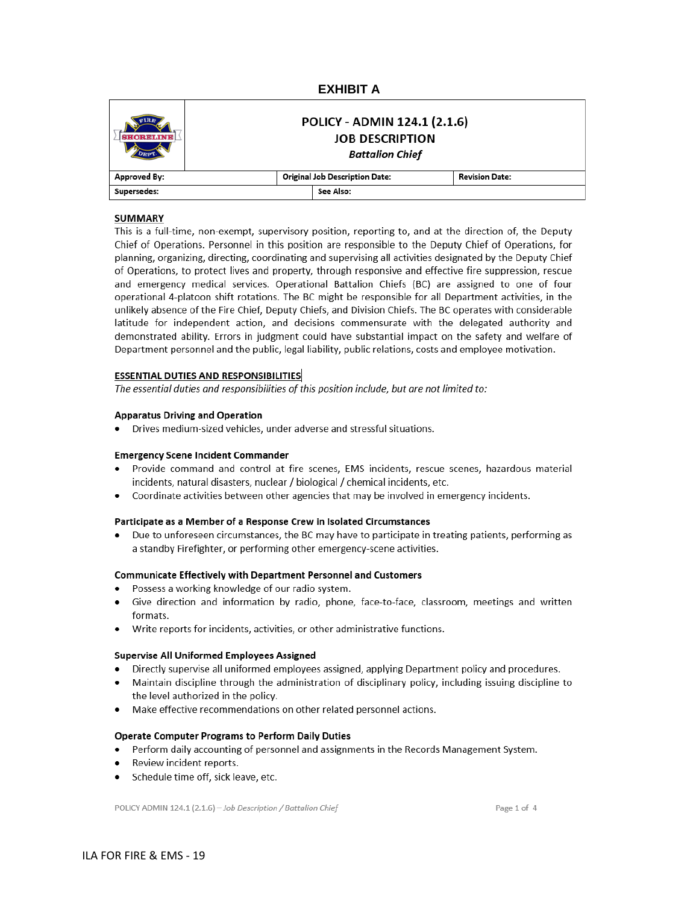### **EXHIBIT A**

|              | POLICY - ADMIN 124.1 (2.1.6)<br><b>JOB DESCRIPTION</b><br><b>Battalion Chief</b> |                       |  |  |  |  |
|--------------|----------------------------------------------------------------------------------|-----------------------|--|--|--|--|
| Approved By: | <b>Original Job Description Date:</b>                                            | <b>Revision Date:</b> |  |  |  |  |
| Supersedes:  | See Also:                                                                        |                       |  |  |  |  |

#### **SUMMARY**

This is a full-time, non-exempt, supervisory position, reporting to, and at the direction of, the Deputy Chief of Operations. Personnel in this position are responsible to the Deputy Chief of Operations, for planning, organizing, directing, coordinating and supervising all activities designated by the Deputy Chief of Operations, to protect lives and property, through responsive and effective fire suppression, rescue and emergency medical services. Operational Battalion Chiefs (BC) are assigned to one of four operational 4-platoon shift rotations. The BC might be responsible for all Department activities, in the unlikely absence of the Fire Chief, Deputy Chiefs, and Division Chiefs. The BC operates with considerable latitude for independent action, and decisions commensurate with the delegated authority and demonstrated ability. Errors in judgment could have substantial impact on the safety and welfare of Department personnel and the public, legal liability, public relations, costs and employee motivation.

#### **ESSENTIAL DUTIES AND RESPONSIBILITIES**

The essential duties and responsibilities of this position include, but are not limited to:

#### **Apparatus Driving and Operation**

• Drives medium-sized vehicles, under adverse and stressful situations.

#### **Emergency Scene Incident Commander**

- Provide command and control at fire scenes, EMS incidents, rescue scenes, hazardous material incidents, natural disasters, nuclear / biological / chemical incidents, etc.
- Coordinate activities between other agencies that may be involved in emergency incidents.

#### Participate as a Member of a Response Crew in Isolated Circumstances

Due to unforeseen circumstances, the BC may have to participate in treating patients, performing as  $\bullet$ a standby Firefighter, or performing other emergency-scene activities.

#### **Communicate Effectively with Department Personnel and Customers**

- Possess a working knowledge of our radio system.
- Give direction and information by radio, phone, face-to-face, classroom, meetings and written formats.
- Write reports for incidents, activities, or other administrative functions.

#### Supervise All Uniformed Employees Assigned

- Directly supervise all uniformed employees assigned, applying Department policy and procedures.
- Maintain discipline through the administration of disciplinary policy, including issuing discipline to the level authorized in the policy.
- Make effective recommendations on other related personnel actions.

#### **Operate Computer Programs to Perform Daily Duties**

- Perform daily accounting of personnel and assignments in the Records Management System.
- Review incident reports.
- Schedule time off, sick leave, etc.

POLICY ADMIN 124.1 (2.1.6) - Job Description / Battalion Chief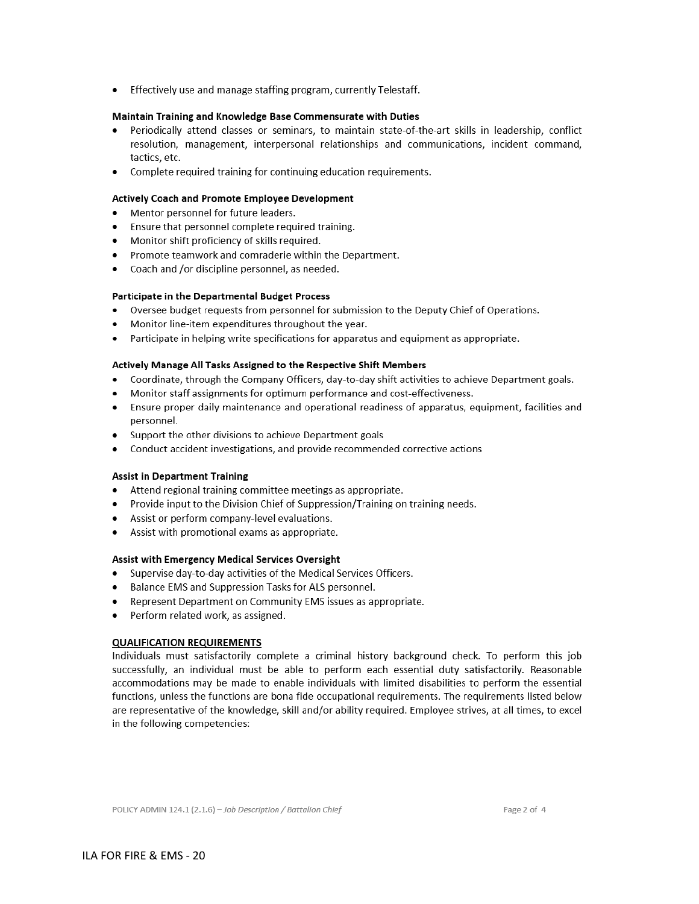Effectively use and manage staffing program, currently Telestaff.

#### Maintain Training and Knowledge Base Commensurate with Duties

- Periodically attend classes or seminars, to maintain state-of-the-art skills in leadership, conflict resolution, management, interpersonal relationships and communications, incident command, tactics, etc.
- Complete required training for continuing education requirements.

#### Actively Coach and Promote Employee Development

- Mentor personnel for future leaders.
- Ensure that personnel complete required training.
- Monitor shift proficiency of skills required.  $\bullet$
- Promote teamwork and comraderie within the Department.
- Coach and /or discipline personnel, as needed.

#### Participate in the Departmental Budget Process

- Oversee budget requests from personnel for submission to the Deputy Chief of Operations.  $\bullet$
- Monitor line-item expenditures throughout the year.
- $\bullet$ Participate in helping write specifications for apparatus and equipment as appropriate.

#### Actively Manage All Tasks Assigned to the Respective Shift Members

- Coordinate, through the Company Officers, day-to-day shift activities to achieve Department goals.  $\bullet$
- Monitor staff assignments for optimum performance and cost-effectiveness.
- Ensure proper daily maintenance and operational readiness of apparatus, equipment, facilities and personnel.
- Support the other divisions to achieve Department goals
- $\bullet$ Conduct accident investigations, and provide recommended corrective actions

#### **Assist in Department Training**

- Attend regional training committee meetings as appropriate.
- Provide input to the Division Chief of Suppression/Training on training needs.
- Assist or perform company-level evaluations.
- $\bullet$ Assist with promotional exams as appropriate.

#### Assist with Emergency Medical Services Oversight

- Supervise day-to-day activities of the Medical Services Officers.
- Balance EMS and Suppression Tasks for ALS personnel.
- Represent Department on Community EMS issues as appropriate.
- Perform related work, as assigned.

#### **QUALIFICATION REQUIREMENTS**

Individuals must satisfactorily complete a criminal history background check. To perform this job successfully, an individual must be able to perform each essential duty satisfactorily. Reasonable accommodations may be made to enable individuals with limited disabilities to perform the essential functions, unless the functions are bona fide occupational requirements. The requirements listed below are representative of the knowledge, skill and/or ability required. Employee strives, at all times, to excel in the following competencies: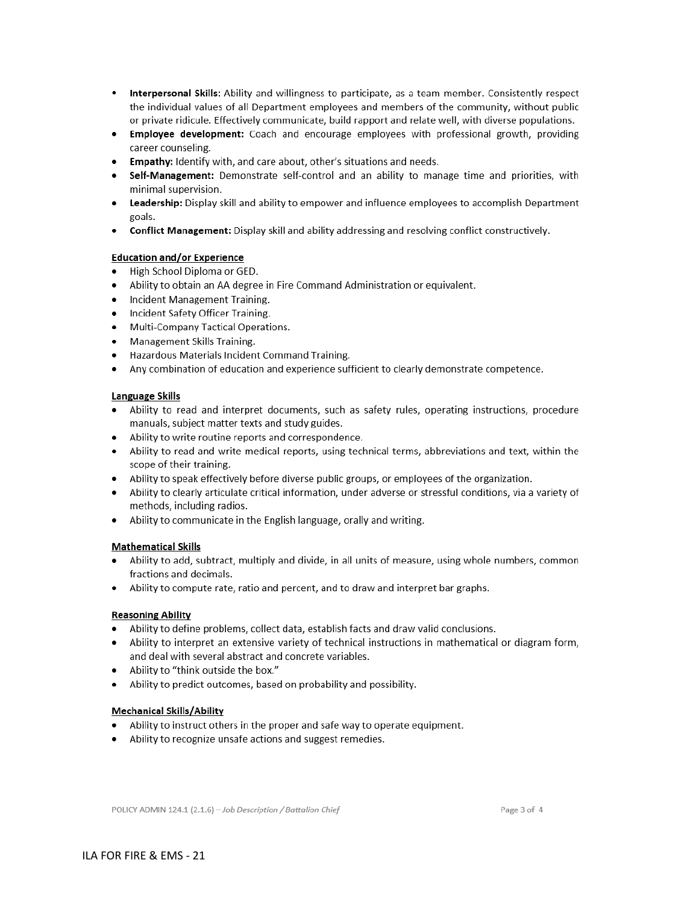- Interpersonal Skills: Ability and willingness to participate, as a team member. Consistently respect the individual values of all Department employees and members of the community, without public or private ridicule. Effectively communicate, build rapport and relate well, with diverse populations.
- Employee development: Coach and encourage employees with professional growth, providing career counseling.
- Empathy: Identify with, and care about, other's situations and needs.
- Self-Management: Demonstrate self-control and an ability to manage time and priorities, with minimal supervision.
- Leadership: Display skill and ability to empower and influence employees to accomplish Department goals.
- Conflict Management: Display skill and ability addressing and resolving conflict constructively.

#### **Education and/or Experience**

- High School Diploma or GED.
- Ability to obtain an AA degree in Fire Command Administration or equivalent.
- Incident Management Training.  $\bullet$
- Incident Safety Officer Training.
- Multi-Company Tactical Operations.  $\bullet$
- Management Skills Training.
- Hazardous Materials Incident Command Training.
- Any combination of education and experience sufficient to clearly demonstrate competence.

#### Language Skills

- Ability to read and interpret documents, such as safety rules, operating instructions, procedure manuals, subject matter texts and study guides.
- Ability to write routine reports and correspondence.
- Ability to read and write medical reports, using technical terms, abbreviations and text, within the scope of their training.
- Ability to speak effectively before diverse public groups, or employees of the organization.
- Ability to clearly articulate critical information, under adverse or stressful conditions, via a variety of methods, including radios.
- Ability to communicate in the English language, orally and writing.

#### **Mathematical Skills**

- Ability to add, subtract, multiply and divide, in all units of measure, using whole numbers, common fractions and decimals.
- Ability to compute rate, ratio and percent, and to draw and interpret bar graphs.

#### **Reasoning Ability**

- Ability to define problems, collect data, establish facts and draw valid conclusions.
- Ability to interpret an extensive variety of technical instructions in mathematical or diagram form, and deal with several abstract and concrete variables.
- Ability to "think outside the box."
- Ability to predict outcomes, based on probability and possibility.

#### **Mechanical Skills/Ability**

- Ability to instruct others in the proper and safe way to operate equipment.
- Ability to recognize unsafe actions and suggest remedies.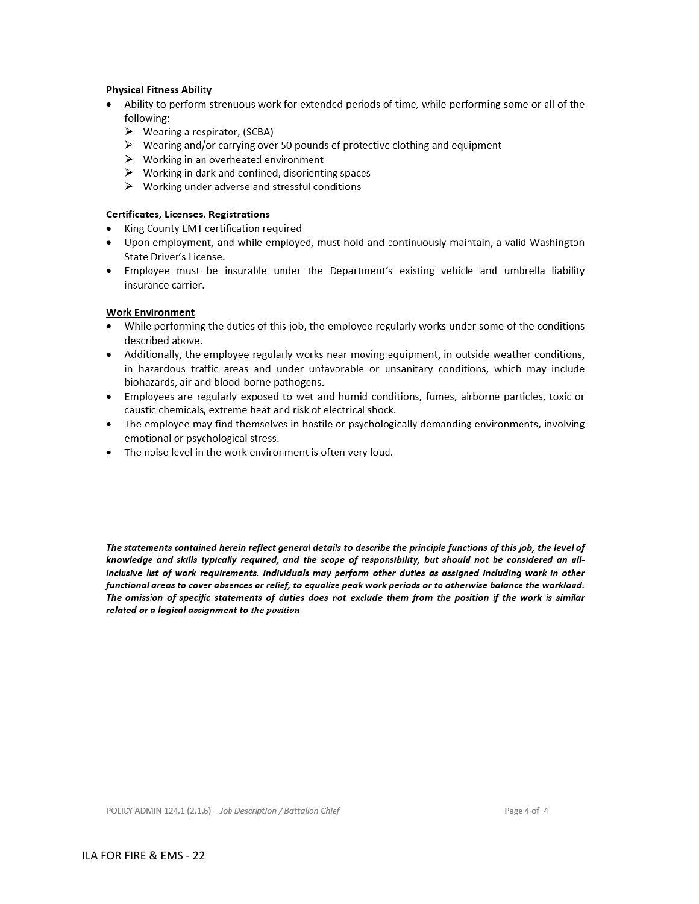#### **Physical Fitness Ability**

- Ability to perform strenuous work for extended periods of time, while performing some or all of the following:
	- $\triangleright$  Wearing a respirator, (SCBA)
	- > Wearing and/or carrying over 50 pounds of protective clothing and equipment
	- $\triangleright$  Working in an overheated environment
	- $\triangleright$  Working in dark and confined, disorienting spaces
	- $\triangleright$  Working under adverse and stressful conditions

#### Certificates, Licenses, Registrations

- King County EMT certification required
- Upon employment, and while employed, must hold and continuously maintain, a valid Washington  $\bullet$ State Driver's License.
- . Employee must be insurable under the Department's existing vehicle and umbrella liability insurance carrier.

#### **Work Environment**

- While performing the duties of this job, the employee regularly works under some of the conditions described above.
- Additionally, the employee regularly works near moving equipment, in outside weather conditions, in hazardous traffic areas and under unfavorable or unsanitary conditions, which may include biohazards, air and blood-borne pathogens.
- Employees are regularly exposed to wet and humid conditions, fumes, airborne particles, toxic or caustic chemicals, extreme heat and risk of electrical shock.
- The employee may find themselves in hostile or psychologically demanding environments, involving  $\bullet$ emotional or psychological stress.
- The noise level in the work environment is often very loud.

The statements contained herein reflect general details to describe the principle functions of this job, the level of knowledge and skills typically required, and the scope of responsibility, but should not be considered an allinclusive list of work requirements. Individuals may perform other duties as assigned including work in other functional areas to cover absences or relief, to equalize peak work periods or to otherwise balance the workload. The omission of specific statements of duties does not exclude them from the position if the work is similar related or a logical assignment to the position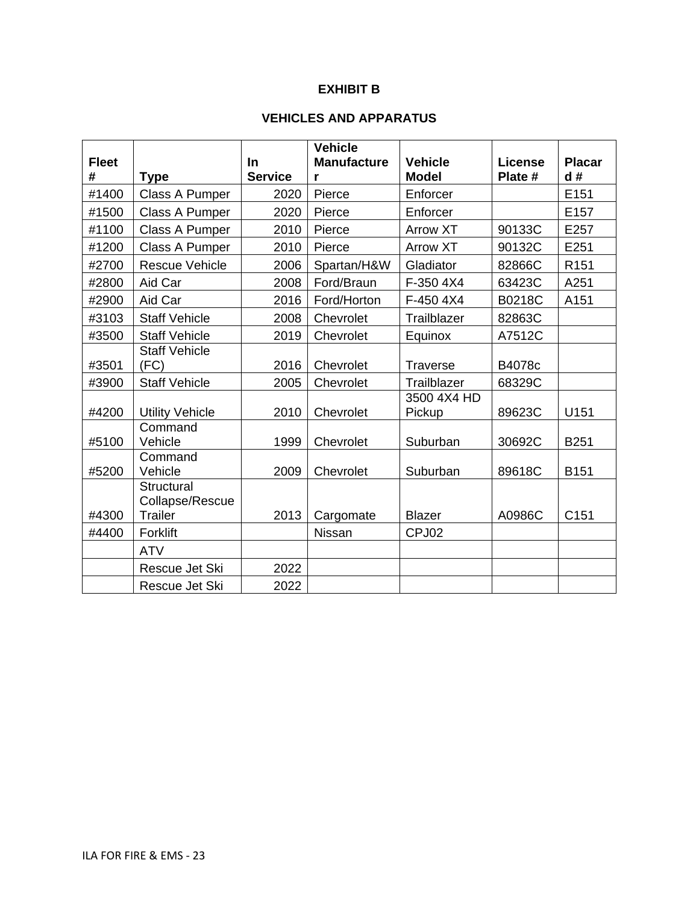# **EXHIBIT B**

# **VEHICLES AND APPARATUS**

| <b>Fleet</b> |                                                 | <b>In</b>      | <b>Vehicle</b><br><b>Manufacture</b> | <b>Vehicle</b>        | <b>License</b> | <b>Placar</b>    |  |  |
|--------------|-------------------------------------------------|----------------|--------------------------------------|-----------------------|----------------|------------------|--|--|
| #            | <b>Type</b>                                     | <b>Service</b> | r                                    | <b>Model</b>          | Plate #        | d#               |  |  |
| #1400        | Class A Pumper                                  | 2020           | Pierce                               | Enforcer              |                | E151             |  |  |
| #1500        | Class A Pumper                                  | 2020           | Pierce                               | Enforcer              |                | E157             |  |  |
| #1100        | <b>Class A Pumper</b>                           | 2010           | Pierce                               | <b>Arrow XT</b>       | 90133C         | E257             |  |  |
| #1200        | Class A Pumper                                  | 2010           | Pierce                               | <b>Arrow XT</b>       | 90132C         | E251             |  |  |
| #2700        | <b>Rescue Vehicle</b>                           | 2006           | Spartan/H&W                          | Gladiator             | 82866C         | R <sub>151</sub> |  |  |
| #2800        | Aid Car                                         | 2008           | Ford/Braun                           | F-350 4X4             | 63423C         | A251             |  |  |
| #2900        | Aid Car                                         | 2016           | Ford/Horton                          | F-450 4X4             | <b>B0218C</b>  | A151             |  |  |
| #3103        | <b>Staff Vehicle</b>                            | 2008           | Chevrolet                            | Trailblazer           | 82863C         |                  |  |  |
| #3500        | <b>Staff Vehicle</b>                            | 2019           | Chevrolet                            | Equinox               | A7512C         |                  |  |  |
| #3501        | <b>Staff Vehicle</b><br>(FC)                    | 2016           | Chevrolet                            | <b>Traverse</b>       | B4078c         |                  |  |  |
| #3900        | <b>Staff Vehicle</b>                            | 2005           | Chevrolet                            | Trailblazer           | 68329C         |                  |  |  |
| #4200        | <b>Utility Vehicle</b>                          | 2010           | Chevrolet                            | 3500 4X4 HD<br>Pickup | 89623C         | U151             |  |  |
| #5100        | Command<br>Vehicle                              | 1999           | Chevrolet                            | Suburban              | 30692C         | <b>B251</b>      |  |  |
| #5200        | Command<br>Vehicle                              | 2009           | Chevrolet                            | Suburban              | 89618C         | <b>B151</b>      |  |  |
| #4300        | Structural<br>Collapse/Rescue<br><b>Trailer</b> | 2013           | Cargomate                            | <b>Blazer</b>         | A0986C         | C151             |  |  |
| #4400        | Forklift                                        |                | Nissan                               | CPJ02                 |                |                  |  |  |
|              | <b>ATV</b>                                      |                |                                      |                       |                |                  |  |  |
|              | Rescue Jet Ski                                  | 2022           |                                      |                       |                |                  |  |  |
|              | Rescue Jet Ski                                  | 2022           |                                      |                       |                |                  |  |  |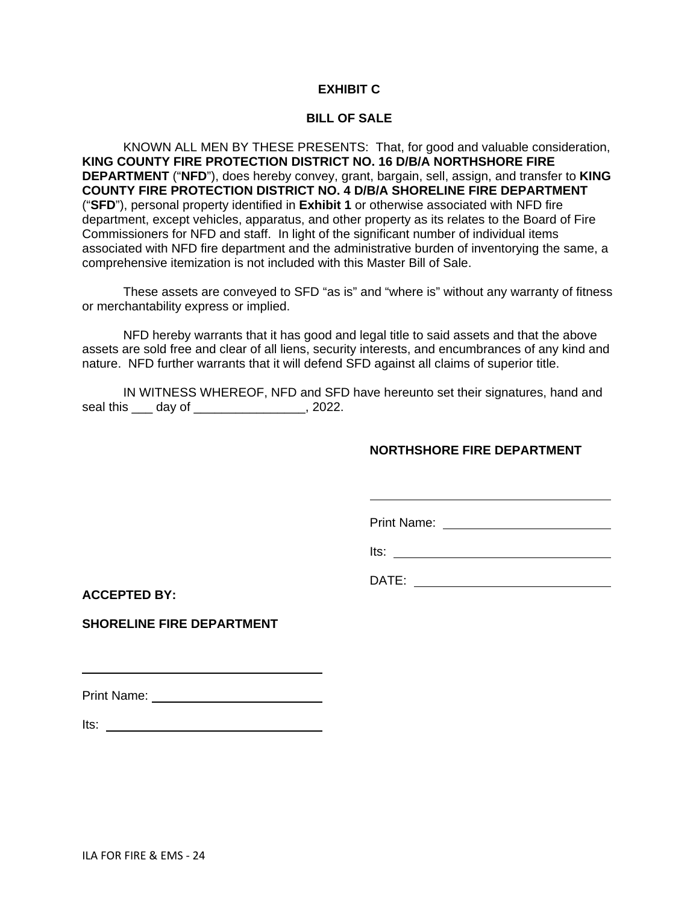### **EXHIBIT C**

### **BILL OF SALE**

KNOWN ALL MEN BY THESE PRESENTS: That, for good and valuable consideration, **KING COUNTY FIRE PROTECTION DISTRICT NO. 16 D/B/A NORTHSHORE FIRE DEPARTMENT** ("**NFD**"), does hereby convey, grant, bargain, sell, assign, and transfer to **KING COUNTY FIRE PROTECTION DISTRICT NO. 4 D/B/A SHORELINE FIRE DEPARTMENT** ("**SFD**"), personal property identified in **Exhibit 1** or otherwise associated with NFD fire department, except vehicles, apparatus, and other property as its relates to the Board of Fire Commissioners for NFD and staff. In light of the significant number of individual items associated with NFD fire department and the administrative burden of inventorying the same, a comprehensive itemization is not included with this Master Bill of Sale.

These assets are conveyed to SFD "as is" and "where is" without any warranty of fitness or merchantability express or implied.

NFD hereby warrants that it has good and legal title to said assets and that the above assets are sold free and clear of all liens, security interests, and encumbrances of any kind and nature. NFD further warrants that it will defend SFD against all claims of superior title.

IN WITNESS WHEREOF, NFD and SFD have hereunto set their signatures, hand and seal this \_\_\_ day of \_\_\_\_\_\_\_\_\_\_\_\_\_\_\_\_, 2022.

### **NORTHSHORE FIRE DEPARTMENT**

Print Name:

Its:

DATE: \_\_\_\_\_\_\_\_\_\_\_\_\_\_\_\_\_\_\_\_\_\_\_\_\_\_\_\_\_

**ACCEPTED BY:**

**SHORELINE FIRE DEPARTMENT**

Print Name: William Street, William Street, William Street, William Street, William Street, William Street, The

Its: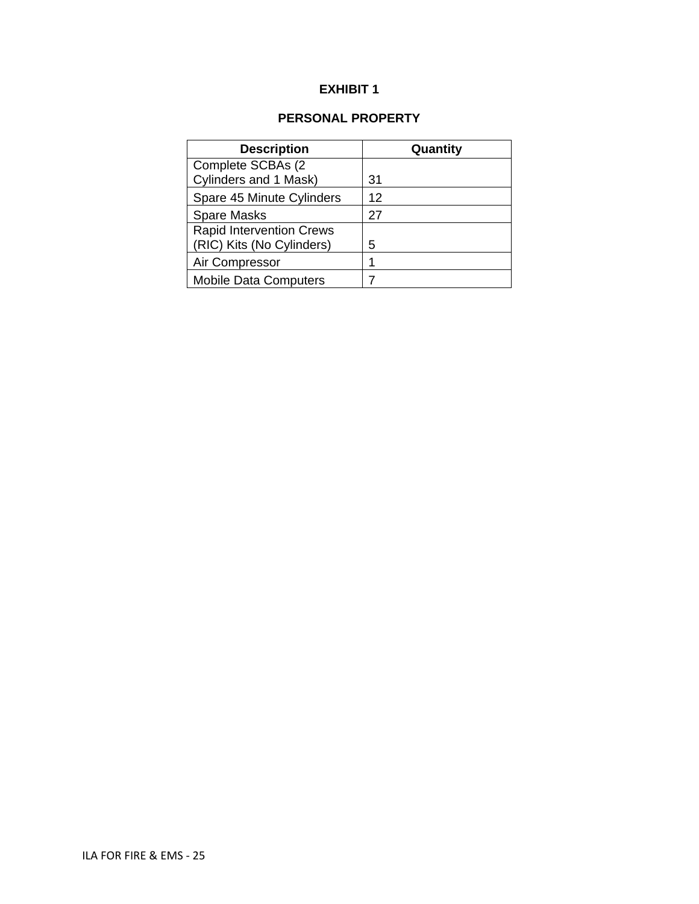# **EXHIBIT 1**

# **PERSONAL PROPERTY**

| <b>Description</b>              | Quantity |
|---------------------------------|----------|
| Complete SCBAs (2               |          |
| Cylinders and 1 Mask)           | 31       |
| Spare 45 Minute Cylinders       | 12       |
| <b>Spare Masks</b>              | 27       |
| <b>Rapid Intervention Crews</b> |          |
| (RIC) Kits (No Cylinders)       | 5        |
| Air Compressor                  |          |
| <b>Mobile Data Computers</b>    |          |